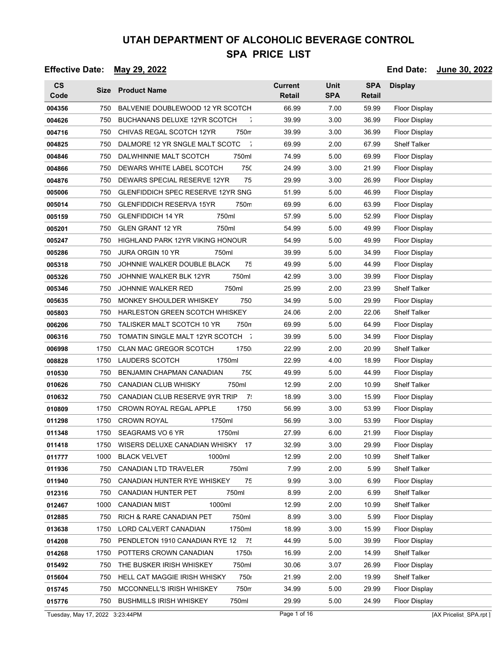### **Effective Date: May 29, 2022 End Date: June 30, 2022**

| <b>CS</b><br>Code |      | Size Product Name                          | <b>Current</b><br><b>Retail</b> | <b>Unit</b><br><b>SPA</b> | <b>SPA</b><br>Retail | <b>Display</b>       |
|-------------------|------|--------------------------------------------|---------------------------------|---------------------------|----------------------|----------------------|
| 004356            | 750  | BALVENIE DOUBLEWOOD 12 YR SCOTCH           | 66.99                           | 7.00                      | 59.99                | <b>Floor Display</b> |
| 004626            | 750  | <b>BUCHANANS DELUXE 12YR SCOTCH</b><br>÷.  | 39.99                           | 3.00                      | 36.99                | <b>Floor Display</b> |
| 004716            | 750  | CHIVAS REGAL SCOTCH 12YR<br>750m           | 39.99                           | 3.00                      | 36.99                | Floor Display        |
| 004825            | 750  | DALMORE 12 YR SNGLE MALT SCOTC<br>$\sim$   | 69.99                           | 2.00                      | 67.99                | <b>Shelf Talker</b>  |
| 004846            | 750  | 750ml<br>DALWHINNIE MALT SCOTCH            | 74.99                           | 5.00                      | 69.99                | Floor Display        |
| 004866            | 750  | DEWARS WHITE LABEL SCOTCH<br>750           | 24.99                           | 3.00                      | 21.99                | Floor Display        |
| 004876            | 750  | DEWARS SPECIAL RESERVE 12YR<br>75          | 29.99                           | 3.00                      | 26.99                | Floor Display        |
| 005006            | 750  | <b>GLENFIDDICH SPEC RESERVE 12YR SNG</b>   | 51.99                           | 5.00                      | 46.99                | Floor Display        |
| 005014            | 750  | 750m<br><b>GLENFIDDICH RESERVA 15YR</b>    | 69.99                           | 6.00                      | 63.99                | Floor Display        |
| 005159            | 750  | <b>GLENFIDDICH 14 YR</b><br>750ml          | 57.99                           | 5.00                      | 52.99                | Floor Display        |
| 005201            | 750  | 750ml<br><b>GLEN GRANT 12 YR</b>           | 54.99                           | 5.00                      | 49.99                | <b>Floor Display</b> |
| 005247            | 750  | <b>HIGHLAND PARK 12YR VIKING HONOUR</b>    | 54.99                           | 5.00                      | 49.99                | Floor Display        |
| 005286            | 750  | <b>JURA ORGIN 10 YR</b><br>750ml           | 39.99                           | 5.00                      | 34.99                | Floor Display        |
| 005318            | 750  | 75<br>JOHNNIE WALKER DOUBLE BLACK          | 49.99                           | 5.00                      | 44.99                | Floor Display        |
| 005326            | 750  | 750ml<br>JOHNNIE WALKER BLK 12YR           | 42.99                           | 3.00                      | 39.99                | <b>Floor Display</b> |
| 005346            | 750  | <b>JOHNNIE WALKER RED</b><br>750ml         | 25.99                           | 2.00                      | 23.99                | <b>Shelf Talker</b>  |
| 005635            | 750  | 750<br>MONKEY SHOULDER WHISKEY             | 34.99                           | 5.00                      | 29.99                | Floor Display        |
| 005803            | 750  | <b>HARLESTON GREEN SCOTCH WHISKEY</b>      | 24.06                           | 2.00                      | 22.06                | <b>Shelf Talker</b>  |
| 006206            | 750  | TALISKER MALT SCOTCH 10 YR<br>750n         | 69.99                           | 5.00                      | 64.99                | Floor Display        |
| 006316            | 750  | TOMATIN SINGLE MALT 12YR SCOTCH T          | 39.99                           | 5.00                      | 34.99                | Floor Display        |
| 006998            | 1750 | <b>CLAN MAC GREGOR SCOTCH</b><br>1750      | 22.99                           | 2.00                      | 20.99                | <b>Shelf Talker</b>  |
| 008828            | 1750 | <b>LAUDERS SCOTCH</b><br>1750ml            | 22.99                           | 4.00                      | 18.99                | <b>Floor Display</b> |
| 010530            | 750  | 750<br>BENJAMIN CHAPMAN CANADIAN           | 49.99                           | 5.00                      | 44.99                | <b>Floor Display</b> |
| 010626            | 750  | 750ml<br>CANADIAN CLUB WHISKY              | 12.99                           | 2.00                      | 10.99                | Shelf Talker         |
| 010632            | 750  | CANADIAN CLUB RESERVE 9YR TRIP<br>7:       | 18.99                           | 3.00                      | 15.99                | Floor Display        |
| 010809            | 1750 | 1750<br><b>CROWN ROYAL REGAL APPLE</b>     | 56.99                           | 3.00                      | 53.99                | Floor Display        |
| 011298            | 1750 | <b>CROWN ROYAL</b><br>1750ml               | 56.99                           | 3.00                      | 53.99                | <b>Floor Display</b> |
| 011348            | 1750 | SEAGRAMS VO 6 YR<br>1750ml                 | 27.99                           | 6.00                      | 21.99                | Floor Display        |
| 011418            | 1750 | WISERS DELUXE CANADIAN WHISKY 17           | 32.99                           | 3.00                      | 29.99                | Floor Display        |
| 011777            | 1000 | <b>BLACK VELVET</b><br>1000ml              | 12.99                           | 2.00                      | 10.99                | <b>Shelf Talker</b>  |
| 011936            | 750  | 750ml<br>CANADIAN LTD TRAVELER             | 7.99                            | 2.00                      | 5.99                 | <b>Shelf Talker</b>  |
| 011940            | 750  | 75<br>CANADIAN HUNTER RYE WHISKEY          | 9.99                            | 3.00                      | 6.99                 | <b>Floor Display</b> |
| 012316            | 750  | 750ml<br>CANADIAN HUNTER PET               | 8.99                            | 2.00                      | 6.99                 | <b>Shelf Talker</b>  |
| 012467            | 1000 | 1000ml<br><b>CANADIAN MIST</b>             | 12.99                           | 2.00                      | 10.99                | <b>Shelf Talker</b>  |
| 012885            | 750  | 750ml<br>RICH & RARE CANADIAN PET          | 8.99                            | 3.00                      | 5.99                 | <b>Floor Display</b> |
| 013638            | 1750 | <b>LORD CALVERT CANADIAN</b><br>1750ml     | 18.99                           | 3.00                      | 15.99                | <b>Floor Display</b> |
| 014208            | 750  | PENDLETON 1910 CANADIAN RYE 12<br>75       | 44.99                           | 5.00                      | 39.99                | <b>Floor Display</b> |
| 014268            | 1750 | POTTERS CROWN CANADIAN<br>1750             | 16.99                           | 2.00                      | 14.99                | <b>Shelf Talker</b>  |
| 015492            | 750  | 750ml<br>THE BUSKER IRISH WHISKEY          | 30.06                           | 3.07                      | 26.99                | Floor Display        |
| 015604            | 750  | <b>750</b><br>HELL CAT MAGGIE IRISH WHISKY | 21.99                           | 2.00                      | 19.99                | <b>Shelf Talker</b>  |
| 015745            | 750  | 750m<br>MCCONNELL'S IRISH WHISKEY          | 34.99                           | 5.00                      | 29.99                | <b>Floor Display</b> |
| 015776            | 750  | 750ml<br><b>BUSHMILLS IRISH WHISKEY</b>    | 29.99                           | 5.00                      | 24.99                | <b>Floor Display</b> |

Tuesday, May 17, 2022 3:23:44PM Page 1 of 16 Page 1 of 16 [AX Pricelist\_SPA.rpt ]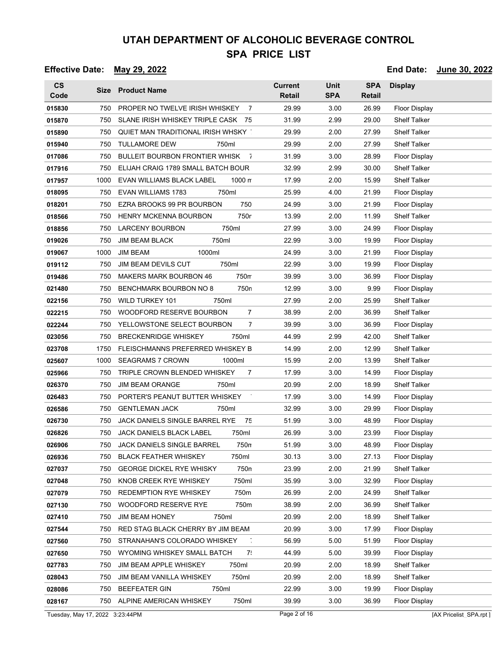| $\mathsf{CS}\phantom{0}$<br>Code |      | Size Product Name                             | <b>Current</b><br><b>Retail</b> | <b>Unit</b><br><b>SPA</b> | <b>SPA</b><br><b>Retail</b> | <b>Display</b>         |
|----------------------------------|------|-----------------------------------------------|---------------------------------|---------------------------|-----------------------------|------------------------|
| 015830                           | 750  | PROPER NO TWELVE IRISH WHISKEY<br>- 7         | 29.99                           | 3.00                      | 26.99                       | <b>Floor Display</b>   |
| 015870                           | 750  | SLANE IRISH WHISKEY TRIPLE CASK 75            | 31.99                           | 2.99                      | 29.00                       | <b>Shelf Talker</b>    |
| 015890                           | 750  | QUIET MAN TRADITIONAL IRISH WHSKY             | 29.99                           | 2.00                      | 27.99                       | <b>Shelf Talker</b>    |
| 015940                           | 750  | <b>TULLAMORE DEW</b><br>750ml                 | 29.99                           | 2.00                      | 27.99                       | <b>Shelf Talker</b>    |
| 017086                           | 750  | BULLEIT BOURBON FRONTIER WHISK<br>$\bar{1}$   | 31.99                           | 3.00                      | 28.99                       | <b>Floor Display</b>   |
| 017916                           | 750  | ELIJAH CRAIG 1789 SMALL BATCH BOUR            | 32.99                           | 2.99                      | 30.00                       | Shelf Talker           |
| 017957                           | 1000 | EVAN WILLIAMS BLACK LABEL<br>$1000 \text{ m}$ | 17.99                           | 2.00                      | 15.99                       | <b>Shelf Talker</b>    |
| 018095                           | 750  | <b>EVAN WILLIAMS 1783</b><br>750ml            | 25.99                           | 4.00                      | 21.99                       | <b>Floor Display</b>   |
| 018201                           | 750  | 750<br>EZRA BROOKS 99 PR BOURBON              | 24.99                           | 3.00                      | 21.99                       | <b>Floor Display</b>   |
| 018566                           | 750  | 750r<br>HENRY MCKENNA BOURBON                 | 13.99                           | 2.00                      | 11.99                       | Shelf Talker           |
| 018856                           | 750  | 750ml<br><b>LARCENY BOURBON</b>               | 27.99                           | 3.00                      | 24.99                       | <b>Floor Display</b>   |
| 019026                           | 750  | <b>JIM BEAM BLACK</b><br>750ml                | 22.99                           | 3.00                      | 19.99                       | Floor Display          |
| 019067                           | 1000 | <b>JIM BEAM</b><br>1000ml                     | 24.99                           | 3.00                      | 21.99                       | <b>Floor Display</b>   |
| 019112                           | 750  | 750ml<br>JIM BEAM DEVILS CUT                  | 22.99                           | 3.00                      | 19.99                       | Floor Display          |
| 019486                           | 750  | <b>MAKERS MARK BOURBON 46</b><br>750m         | 39.99                           | 3.00                      | 36.99                       | Floor Display          |
| 021480                           | 750  | BENCHMARK BOURBON NO 8<br>750n                | 12.99                           | 3.00                      | 9.99                        | <b>Floor Display</b>   |
| 022156                           | 750  | WILD TURKEY 101<br>750ml                      | 27.99                           | 2.00                      | 25.99                       | <b>Shelf Talker</b>    |
| 022215                           | 750  | WOODFORD RESERVE BOURBON<br>$\overline{7}$    | 38.99                           | 2.00                      | 36.99                       | <b>Shelf Talker</b>    |
| 022244                           | 750  | YELLOWSTONE SELECT BOURBON<br>7               | 39.99                           | 3.00                      | 36.99                       | <b>Floor Display</b>   |
| 023056                           | 750  | <b>BRECKENRIDGE WHISKEY</b><br>750ml          | 44.99                           | 2.99                      | 42.00                       | <b>Shelf Talker</b>    |
| 023708                           | 1750 | FLEISCHMANNS PREFERRED WHISKEY B              | 14.99                           | 2.00                      | 12.99                       | <b>Shelf Talker</b>    |
| 025607                           | 1000 | <b>SEAGRAMS 7 CROWN</b><br>1000ml             | 15.99                           | 2.00                      | 13.99                       | <b>Shelf Talker</b>    |
| 025966                           | 750  | TRIPLE CROWN BLENDED WHISKEY<br>7             | 17.99                           | 3.00                      | 14.99                       | <b>Floor Display</b>   |
| 026370                           | 750  | <b>JIM BEAM ORANGE</b><br>750ml               | 20.99                           | 2.00                      | 18.99                       | <b>Shelf Talker</b>    |
| 026483                           | 750  | PORTER'S PEANUT BUTTER WHISKEY                | 17.99                           | 3.00                      | 14.99                       | <b>Floor Display</b>   |
| 026586                           | 750  | <b>GENTLEMAN JACK</b><br>750ml                | 32.99                           | 3.00                      | 29.99                       | Floor Display          |
| 026730                           | 750  | JACK DANIELS SINGLE BARREL RYE<br>75          | 51.99                           | 3.00                      | 48.99                       | <b>Floor Display</b>   |
| 026826                           | 750  | <b>JACK DANIELS BLACK LABEL</b><br>750ml      | 26.99                           | 3.00                      | 23.99                       | <b>Floor Display</b>   |
| 026906                           | 750  | JACK DANIELS SINGLE BARREL<br>750n            | 51.99                           | 3.00                      | 48.99                       | Floor Display          |
| 026936                           | 750  | <b>BLACK FEATHER WHISKEY</b><br>750ml         | 30.13                           | 3.00                      | 27.13                       | Floor Display          |
| 027037                           | 750  | 750n<br><b>GEORGE DICKEL RYE WHISKY</b>       | 23.99                           | 2.00                      | 21.99                       | <b>Shelf Talker</b>    |
| 027048                           | 750  | 750ml<br>KNOB CREEK RYE WHISKEY               | 35.99                           | 3.00                      | 32.99                       | <b>Floor Display</b>   |
| 027079                           | 750  | <b>REDEMPTION RYE WHISKEY</b><br>750m         | 26.99                           | 2.00                      | 24.99                       | <b>Shelf Talker</b>    |
| 027130                           | 750  | 750m<br>WOODFORD RESERVE RYE                  | 38.99                           | 2.00                      | 36.99                       | <b>Shelf Talker</b>    |
| 027410                           | 750  | 750ml<br><b>JIM BEAM HONEY</b>                | 20.99                           | 2.00                      | 18.99                       | <b>Shelf Talker</b>    |
| 027544                           | 750  | RED STAG BLACK CHERRY BY JIM BEAM             | 20.99                           | 3.00                      | 17.99                       | <b>Floor Display</b>   |
| 027560                           | 750  | STRANAHAN'S COLORADO WHISKEY                  | 56.99                           | 5.00                      | 51.99                       | <b>Floor Display</b>   |
| 027650                           | 750  | WYOMING WHISKEY SMALL BATCH<br>7.             | 44.99                           | 5.00                      | 39.99                       | <b>Floor Display</b>   |
| 027783                           | 750  | 750ml<br>JIM BEAM APPLE WHISKEY               | 20.99                           | 2.00                      | 18.99                       | <b>Shelf Talker</b>    |
| 028043                           | 750  | 750ml<br>JIM BEAM VANILLA WHISKEY             | 20.99                           | 2.00                      | 18.99                       | <b>Shelf Talker</b>    |
| 028086                           | 750  | 750ml<br><b>BEEFEATER GIN</b>                 | 22.99                           | 3.00                      | 19.99                       | <b>Floor Display</b>   |
| 028167                           |      | 750ml<br>750 ALPINE AMERICAN WHISKEY          | 39.99                           | 3.00                      | 36.99                       | <b>Floor Display</b>   |
| Tuesday, May 17, 2022 3:23:44PM  |      |                                               | Page 2 of 16                    |                           |                             | [AX Pricelist_SPA.rpt] |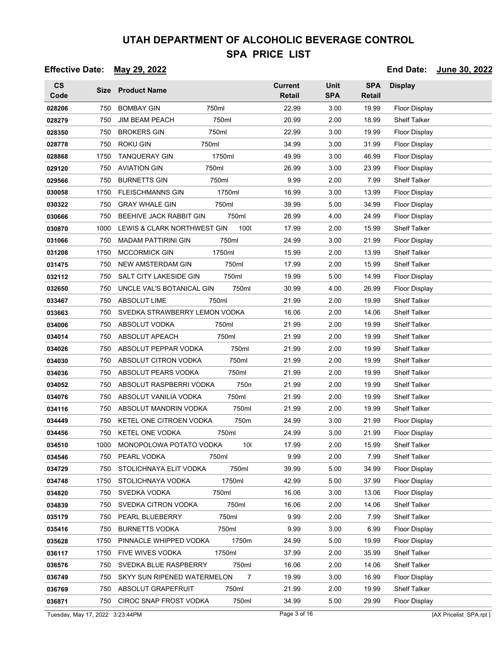| $\mathsf{CS}\phantom{0}$<br>Code |      | Size Product Name                      | <b>Current</b><br>Retail | <b>Unit</b><br><b>SPA</b> | <b>SPA</b><br>Retail | <b>Display</b>       |
|----------------------------------|------|----------------------------------------|--------------------------|---------------------------|----------------------|----------------------|
| 028206                           | 750  | <b>BOMBAY GIN</b><br>750ml             | 22.99                    | 3.00                      | 19.99                | Floor Display        |
| 028279                           | 750  | <b>JIM BEAM PEACH</b><br>750ml         | 20.99                    | 2.00                      | 18.99                | <b>Shelf Talker</b>  |
| 028350                           | 750  | <b>BROKERS GIN</b><br>750ml            | 22.99                    | 3.00                      | 19.99                | Floor Display        |
| 028778                           | 750  | <b>ROKU GIN</b><br>750ml               | 34.99                    | 3.00                      | 31.99                | <b>Floor Display</b> |
| 028868                           | 1750 | <b>TANQUERAY GIN</b><br>1750ml         | 49.99                    | 3.00                      | 46.99                | Floor Display        |
| 029120                           | 750  | <b>AVIATION GIN</b><br>750ml           | 26.99                    | 3.00                      | 23.99                | <b>Floor Display</b> |
| 029566                           | 750  | 750ml<br><b>BURNETTS GIN</b>           | 9.99                     | 2.00                      | 7.99                 | Shelf Talker         |
| 030058                           | 1750 | <b>FLEISCHMANNS GIN</b><br>1750ml      | 16.99                    | 3.00                      | 13.99                | Floor Display        |
| 030322                           | 750  | <b>GRAY WHALE GIN</b><br>750ml         | 39.99                    | 5.00                      | 34.99                | Floor Display        |
| 030666                           | 750  | BEEHIVE JACK RABBIT GIN<br>750ml       | 28.99                    | 4.00                      | 24.99                | <b>Floor Display</b> |
| 030870                           | 1000 | LEWIS & CLARK NORTHWEST GIN<br>1000    | 17.99                    | 2.00                      | 15.99                | <b>Shelf Talker</b>  |
| 031066                           | 750  | <b>MADAM PATTIRINI GIN</b><br>750ml    | 24.99                    | 3.00                      | 21.99                | Floor Display        |
| 031208                           | 1750 | 1750ml<br><b>MCCORMICK GIN</b>         | 15.99                    | 2.00                      | 13.99                | <b>Shelf Talker</b>  |
| 031475                           | 750  | NEW AMSTERDAM GIN<br>750ml             | 17.99                    | 2.00                      | 15.99                | <b>Shelf Talker</b>  |
| 032112                           | 750  | SALT CITY LAKESIDE GIN<br>750ml        | 19.99                    | 5.00                      | 14.99                | Floor Display        |
| 032650                           | 750  | 750ml<br>UNCLE VAL'S BOTANICAL GIN     | 30.99                    | 4.00                      | 26.99                | <b>Floor Display</b> |
| 033467                           | 750  | <b>ABSOLUT LIME</b><br>750ml           | 21.99                    | 2.00                      | 19.99                | <b>Shelf Talker</b>  |
| 033663                           | 750  | SVEDKA STRAWBERRY LEMON VODKA          | 16.06                    | 2.00                      | 14.06                | <b>Shelf Talker</b>  |
| 034006                           | 750  | ABSOLUT VODKA<br>750ml                 | 21.99                    | 2.00                      | 19.99                | <b>Shelf Talker</b>  |
| 034014                           | 750  | 750ml<br>ABSOLUT APEACH                | 21.99                    | 2.00                      | 19.99                | <b>Shelf Talker</b>  |
| 034026                           | 750  | 750ml<br>ABSOLUT PEPPAR VODKA          | 21.99                    | 2.00                      | 19.99                | <b>Shelf Talker</b>  |
| 034030                           | 750  | 750ml<br>ABSOLUT CITRON VODKA          | 21.99                    | 2.00                      | 19.99                | <b>Shelf Talker</b>  |
| 034036                           | 750  | ABSOLUT PEARS VODKA<br>750ml           | 21.99                    | 2.00                      | 19.99                | <b>Shelf Talker</b>  |
| 034052                           | 750  | ABSOLUT RASPBERRI VODKA<br>750n        | 21.99                    | 2.00                      | 19.99                | <b>Shelf Talker</b>  |
| 034076                           | 750  | 750ml<br>ABSOLUT VANILIA VODKA         | 21.99                    | 2.00                      | 19.99                | Shelf Talker         |
| 034116                           | 750  | 750ml<br>ABSOLUT MANDRIN VODKA         | 21.99                    | 2.00                      | 19.99                | Shelf Talker         |
| 034449                           | 750  | KETEL ONE CITROEN VODKA<br>750m        | 24.99                    | 3.00                      | 21.99                | <b>Floor Display</b> |
| 034456                           | 750  | <b>KETEL ONE VODKA</b><br>750ml        | 24.99                    | 3.00                      | 21.99                | Floor Display        |
| 034510                           | 1000 | MONOPOLOWA POTATO VODKA<br>100         | 17.99                    | 2.00                      | 15.99                | <b>Shelf Talker</b>  |
| 034546                           | 750  | PEARL VODKA<br>750ml                   | 9.99                     | 2.00                      | 7.99                 | <b>Shelf Talker</b>  |
| 034729                           | 750  | STOLICHNAYA ELIT VODKA<br>750ml        | 39.99                    | 5.00                      | 34.99                | <b>Floor Display</b> |
| 034748                           | 1750 | STOLICHNAYA VODKA<br>1750ml            | 42.99                    | 5.00                      | 37.99                | <b>Floor Display</b> |
| 034820                           | 750  | SVEDKA VODKA<br>750ml                  | 16.06                    | 3.00                      | 13.06                | <b>Floor Display</b> |
| 034839                           | 750  | 750ml<br>SVEDKA CITRON VODKA           | 16.06                    | 2.00                      | 14.06                | <b>Shelf Talker</b>  |
| 035179                           | 750  | PEARL BLUEBERRY<br>750ml               | 9.99                     | 2.00                      | 7.99                 | <b>Shelf Talker</b>  |
| 035416                           | 750  | <b>BURNETTS VODKA</b><br>750ml         | 9.99                     | 3.00                      | 6.99                 | <b>Floor Display</b> |
| 035628                           | 1750 | PINNACLE WHIPPED VODKA<br>1750m        | 24.99                    | 5.00                      | 19.99                | Floor Display        |
| 036117                           | 1750 | 1750ml<br>FIVE WIVES VODKA             | 37.99                    | 2.00                      | 35.99                | <b>Shelf Talker</b>  |
| 036576                           | 750  | SVEDKA BLUE RASPBERRY<br>750ml         | 16.06                    | 2.00                      | 14.06                | <b>Shelf Talker</b>  |
| 036749                           | 750  | SKYY SUN RIPENED WATERMELON<br>7       | 19.99                    | 3.00                      | 16.99                | <b>Floor Display</b> |
| 036769                           | 750  | ABSOLUT GRAPEFRUIT<br>750ml            | 21.99                    | 2.00                      | 19.99                | <b>Shelf Talker</b>  |
| 036871                           | 750  | <b>CIROC SNAP FROST VODKA</b><br>750ml | 34.99                    | 5.00                      | 29.99                | <b>Floor Display</b> |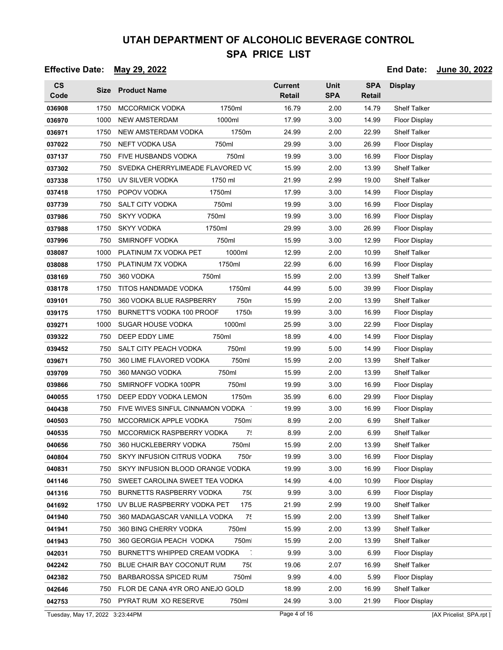### **Effective Date: May 29, 2022 End Date: June 30, 2022**

| $\mathsf{CS}\phantom{0}$<br>Code |      | Size Product Name                                     | <b>Current</b><br><b>Retail</b> | <b>Unit</b><br><b>SPA</b> | <b>SPA</b><br>Retail | <b>Display</b>       |
|----------------------------------|------|-------------------------------------------------------|---------------------------------|---------------------------|----------------------|----------------------|
| 036908                           | 1750 | <b>MCCORMICK VODKA</b><br>1750ml                      | 16.79                           | 2.00                      | 14.79                | <b>Shelf Talker</b>  |
| 036970                           | 1000 | <b>NEW AMSTERDAM</b><br>1000ml                        | 17.99                           | 3.00                      | 14.99                | <b>Floor Display</b> |
| 036971                           | 1750 | NEW AMSTERDAM VODKA<br>1750m                          | 24.99                           | 2.00                      | 22.99                | <b>Shelf Talker</b>  |
| 037022                           | 750  | NEFT VODKA USA<br>750ml                               | 29.99                           | 3.00                      | 26.99                | <b>Floor Display</b> |
| 037137                           | 750  | 750ml<br>FIVE HUSBANDS VODKA                          | 19.99                           | 3.00                      | 16.99                | Floor Display        |
| 037302                           | 750  | SVEDKA CHERRYLIMEADE FLAVORED VC                      | 15.99                           | 2.00                      | 13.99                | <b>Shelf Talker</b>  |
| 037338                           | 1750 | UV SILVER VODKA<br>1750 ml                            | 21.99                           | 2.99                      | 19.00                | <b>Shelf Talker</b>  |
| 037418                           | 1750 | POPOV VODKA<br>1750ml                                 | 17.99                           | 3.00                      | 14.99                | Floor Display        |
| 037739                           | 750  | 750ml<br><b>SALT CITY VODKA</b>                       | 19.99                           | 3.00                      | 16.99                | <b>Floor Display</b> |
| 037986                           | 750  | <b>SKYY VODKA</b><br>750ml                            | 19.99                           | 3.00                      | 16.99                | Floor Display        |
| 037988                           | 1750 | <b>SKYY VODKA</b><br>1750ml                           | 29.99                           | 3.00                      | 26.99                | <b>Floor Display</b> |
| 037996                           | 750  | <b>SMIRNOFF VODKA</b><br>750ml                        | 15.99                           | 3.00                      | 12.99                | Floor Display        |
| 038087                           | 1000 | PLATINUM 7X VODKA PET<br>1000ml                       | 12.99                           | 2.00                      | 10.99                | <b>Shelf Talker</b>  |
| 038088                           | 1750 | 1750ml<br>PLATINUM 7X VODKA                           | 22.99                           | 6.00                      | 16.99                | <b>Floor Display</b> |
| 038169                           | 750  | 360 VODKA<br>750ml                                    | 15.99                           | 2.00                      | 13.99                | <b>Shelf Talker</b>  |
| 038178                           | 1750 | 1750ml<br><b>TITOS HANDMADE VODKA</b>                 | 44.99                           | 5.00                      | 39.99                | Floor Display        |
| 039101                           | 750  | 360 VODKA BLUE RASPBERRY<br>750n                      | 15.99                           | 2.00                      | 13.99                | <b>Shelf Talker</b>  |
| 039175                           | 1750 | 1750 <sub>1</sub><br><b>BURNETT'S VODKA 100 PROOF</b> | 19.99                           | 3.00                      | 16.99                | <b>Floor Display</b> |
| 039271                           | 1000 | SUGAR HOUSE VODKA<br>1000ml                           | 25.99                           | 3.00                      | 22.99                | Floor Display        |
| 039322                           | 750  | 750ml<br>DEEP EDDY LIME                               | 18.99                           | 4.00                      | 14.99                | <b>Floor Display</b> |
| 039452                           | 750  | SALT CITY PEACH VODKA<br>750ml                        | 19.99                           | 5.00                      | 14.99                | Floor Display        |
| 039671                           | 750  | 360 LIME FLAVORED VODKA<br>750ml                      | 15.99                           | 2.00                      | 13.99                | <b>Shelf Talker</b>  |
| 039709                           | 750  | 750ml<br>360 MANGO VODKA                              | 15.99                           | 2.00                      | 13.99                | <b>Shelf Talker</b>  |
| 039866                           | 750  | SMIRNOFF VODKA 100PR<br>750ml                         | 19.99                           | 3.00                      | 16.99                | Floor Display        |
| 040055                           | 1750 | DEEP EDDY VODKA LEMON<br>1750m                        | 35.99                           | 6.00                      | 29.99                | <b>Floor Display</b> |
| 040438                           | 750  | FIVE WIVES SINFUL CINNAMON VODKA                      | 19.99                           | 3.00                      | 16.99                | Floor Display        |
| 040503                           | 750  | MCCORMICK APPLE VODKA<br>750m                         | 8.99                            | 2.00                      | 6.99                 | <b>Shelf Talker</b>  |
| 040535                           | 750  | MCCORMICK RASPBERRY VODKA<br>7!                       | 8.99                            | 2.00                      | 6.99                 | <b>Shelf Talker</b>  |
| 040656                           | 750  | 360 HUCKLEBERRY VODKA<br>750ml                        | 15.99                           | 2.00                      | 13.99                | <b>Shelf Talker</b>  |
| 040804                           | 750  | SKYY INFUSION CITRUS VODKA<br>750r                    | 19.99                           | 3.00                      | 16.99                | Floor Display        |
| 040831                           | 750  | SKYY INFUSION BLOOD ORANGE VODKA                      | 19.99                           | 3.00                      | 16.99                | <b>Floor Display</b> |
| 041146                           | 750  | SWEET CAROLINA SWEET TEA VODKA                        | 14.99                           | 4.00                      | 10.99                | Floor Display        |
| 041316                           | 750  | <b>BURNETTS RASPBERRY VODKA</b><br>750                | 9.99                            | 3.00                      | 6.99                 | <b>Floor Display</b> |
| 041692                           | 1750 | UV BLUE RASPBERRY VODKA PET<br>175                    | 21.99                           | 2.99                      | 19.00                | <b>Shelf Talker</b>  |
| 041940                           | 750  | 75<br>360 MADAGASCAR VANILLA VODKA                    | 15.99                           | 2.00                      | 13.99                | <b>Shelf Talker</b>  |
| 041941                           | 750  | 360 BING CHERRY VODKA<br>750ml                        | 15.99                           | 2.00                      | 13.99                | <b>Shelf Talker</b>  |
| 041943                           | 750  | 750m<br>360 GEORGIA PEACH VODKA                       | 15.99                           | 2.00                      | 13.99                | <b>Shelf Talker</b>  |
| 042031                           | 750  | BURNETT'S WHIPPED CREAM VODKA                         | 9.99                            | 3.00                      | 6.99                 | <b>Floor Display</b> |
| 042242                           | 750  | BLUE CHAIR BAY COCONUT RUM<br>750                     | 19.06                           | 2.07                      | 16.99                | Shelf Talker         |
| 042382                           | 750  | BARBAROSSA SPICED RUM<br>750ml                        | 9.99                            | 4.00                      | 5.99                 | <b>Floor Display</b> |
| 042646                           | 750  | FLOR DE CANA 4YR ORO ANEJO GOLD                       | 18.99                           | 2.00                      | 16.99                | <b>Shelf Talker</b>  |
| 042753                           |      | 750ml<br>750 PYRAT RUM XO RESERVE                     | 24.99                           | 3.00                      | 21.99                | Floor Display        |
|                                  |      |                                                       |                                 |                           |                      |                      |

Tuesday, May 17, 2022 3:23:44PM Page 4 of 16 [AX Pricelist\_SPA.rpt ]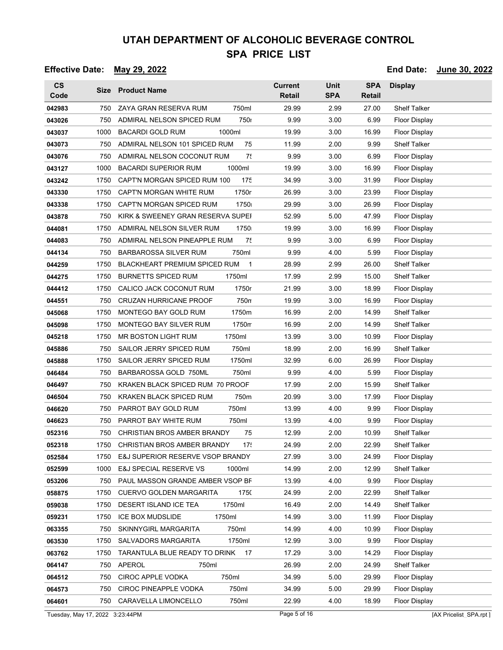### **Effective Date: May 29, 2022 End Date: June 30, 2022**

| $\mathsf{CS}\phantom{0}$<br>Code |      | Size Product Name                           | <b>Current</b><br><b>Retail</b> | <b>Unit</b><br><b>SPA</b> | <b>SPA</b><br>Retail | <b>Display</b>       |
|----------------------------------|------|---------------------------------------------|---------------------------------|---------------------------|----------------------|----------------------|
| 042983                           | 750  | ZAYA GRAN RESERVA RUM<br>750ml              | 29.99                           | 2.99                      | 27.00                | <b>Shelf Talker</b>  |
| 043026                           | 750  | ADMIRAL NELSON SPICED RUM<br><b>750</b>     | 9.99                            | 3.00                      | 6.99                 | <b>Floor Display</b> |
| 043037                           | 1000 | <b>BACARDI GOLD RUM</b><br>1000ml           | 19.99                           | 3.00                      | 16.99                | Floor Display        |
| 043073                           | 750  | ADMIRAL NELSON 101 SPICED RUM<br>75         | 11.99                           | 2.00                      | 9.99                 | <b>Shelf Talker</b>  |
| 043076                           | 750  | 7!<br>ADMIRAL NELSON COCONUT RUM            | 9.99                            | 3.00                      | 6.99                 | <b>Floor Display</b> |
| 043127                           | 1000 | <b>BACARDI SUPERIOR RUM</b><br>1000ml       | 19.99                           | 3.00                      | 16.99                | <b>Floor Display</b> |
| 043242                           | 1750 | 175<br>CAPT'N MORGAN SPICED RUM 100         | 34.99                           | 3.00                      | 31.99                | <b>Floor Display</b> |
| 043330                           | 1750 | 1750r<br>CAPT'N MORGAN WHITE RUM            | 26.99                           | 3.00                      | 23.99                | Floor Display        |
| 043338                           | 1750 | 1750<br>CAPT'N MORGAN SPICED RUM            | 29.99                           | 3.00                      | 26.99                | Floor Display        |
| 043878                           | 750  | KIRK & SWEENEY GRAN RESERVA SUPEI           | 52.99                           | 5.00                      | 47.99                | Floor Display        |
| 044081                           | 1750 | ADMIRAL NELSON SILVER RUM<br>1750           | 19.99                           | 3.00                      | 16.99                | <b>Floor Display</b> |
| 044083                           | 750  | ADMIRAL NELSON PINEAPPLE RUM<br>75          | 9.99                            | 3.00                      | 6.99                 | <b>Floor Display</b> |
| 044134                           | 750  | <b>BARBAROSSA SILVER RUM</b><br>750ml       | 9.99                            | 4.00                      | 5.99                 | <b>Floor Display</b> |
| 044259                           | 1750 | BLACKHEART PREMIUM SPICED RUM<br>-1         | 28.99                           | 2.99                      | 26.00                | <b>Shelf Talker</b>  |
| 044275                           | 1750 | <b>BURNETTS SPICED RUM</b><br>1750ml        | 17.99                           | 2.99                      | 15.00                | <b>Shelf Talker</b>  |
| 044412                           | 1750 | 1750r<br>CALICO JACK COCONUT RUM            | 21.99                           | 3.00                      | 18.99                | <b>Floor Display</b> |
| 044551                           | 750  | 750n<br><b>CRUZAN HURRICANE PROOF</b>       | 19.99                           | 3.00                      | 16.99                | Floor Display        |
| 045068                           | 1750 | MONTEGO BAY GOLD RUM<br>1750m               | 16.99                           | 2.00                      | 14.99                | <b>Shelf Talker</b>  |
| 045098                           | 1750 | MONTEGO BAY SILVER RUM<br>1750m             | 16.99                           | 2.00                      | 14.99                | Shelf Talker         |
| 045218                           | 1750 | 1750ml<br>MR BOSTON LIGHT RUM               | 13.99                           | 3.00                      | 10.99                | Floor Display        |
| 045886                           | 750  | SAILOR JERRY SPICED RUM<br>750ml            | 18.99                           | 2.00                      | 16.99                | <b>Shelf Talker</b>  |
| 045888                           | 1750 | SAILOR JERRY SPICED RUM<br>1750ml           | 32.99                           | 6.00                      | 26.99                | <b>Floor Display</b> |
| 046484                           | 750  | BARBAROSSA GOLD 750ML<br>750ml              | 9.99                            | 4.00                      | 5.99                 | Floor Display        |
| 046497                           | 750  | KRAKEN BLACK SPICED RUM 70 PROOF            | 17.99                           | 2.00                      | 15.99                | <b>Shelf Talker</b>  |
| 046504                           | 750  | <b>KRAKEN BLACK SPICED RUM</b><br>750m      | 20.99                           | 3.00                      | 17.99                | <b>Floor Display</b> |
| 046620                           | 750  | PARROT BAY GOLD RUM<br>750ml                | 13.99                           | 4.00                      | 9.99                 | <b>Floor Display</b> |
| 046623                           | 750  | PARROT BAY WHITE RUM<br>750ml               | 13.99                           | 4.00                      | 9.99                 | <b>Floor Display</b> |
| 052316                           | 750  | CHRISTIAN BROS AMBER BRANDY<br>75           | 12.99                           | 2.00                      | 10.99                | <b>Shelf Talker</b>  |
| 052318                           | 1750 | 17!<br>CHRISTIAN BROS AMBER BRANDY          | 24.99                           | 2.00                      | 22.99                | Shelf Talker         |
| 052584                           | 1750 | E&J SUPERIOR RESERVE VSOP BRANDY            | 27.99                           | 3.00                      | 24.99                | <b>Floor Display</b> |
| 052599                           | 1000 | <b>E&amp;J SPECIAL RESERVE VS</b><br>1000ml | 14.99                           | 2.00                      | 12.99                | <b>Shelf Talker</b>  |
| 053206                           | 750  | PAUL MASSON GRANDE AMBER VSOP BF            | 13.99                           | 4.00                      | 9.99                 | Floor Display        |
| 058875                           | 1750 | CUERVO GOLDEN MARGARITA<br>1750             | 24.99                           | 2.00                      | 22.99                | <b>Shelf Talker</b>  |
| 059038                           | 1750 | 1750ml<br>DESERT ISLAND ICE TEA             | 16.49                           | 2.00                      | 14.49                | <b>Shelf Talker</b>  |
| 059231                           | 1750 | 1750ml<br><b>ICE BOX MUDSLIDE</b>           | 14.99                           | 3.00                      | 11.99                | <b>Floor Display</b> |
| 063355                           | 750  | 750ml<br>SKINNYGIRL MARGARITA               | 14.99                           | 4.00                      | 10.99                | <b>Floor Display</b> |
| 063530                           | 1750 | SALVADORS MARGARITA<br>1750ml               | 12.99                           | 3.00                      | 9.99                 | <b>Floor Display</b> |
| 063762                           | 1750 | TARANTULA BLUE READY TO DRINK<br>17         | 17.29                           | 3.00                      | 14.29                | <b>Floor Display</b> |
| 064147                           | 750  | APEROL<br>750ml                             | 26.99                           | 2.00                      | 24.99                | <b>Shelf Talker</b>  |
| 064512                           | 750  | <b>CIROC APPLE VODKA</b><br>750ml           | 34.99                           | 5.00                      | 29.99                | <b>Floor Display</b> |
| 064573                           | 750  | 750ml<br>CIROC PINEAPPLE VODKA              | 34.99                           | 5.00                      | 29.99                | Floor Display        |
| 064601                           | 750  | 750ml<br>CARAVELLA LIMONCELLO               | 22.99                           | 4.00                      | 18.99                | <b>Floor Display</b> |

Tuesday, May 17, 2022 3:23:44PM Page 5 of 16 [AX Pricelist\_SPA.rpt ]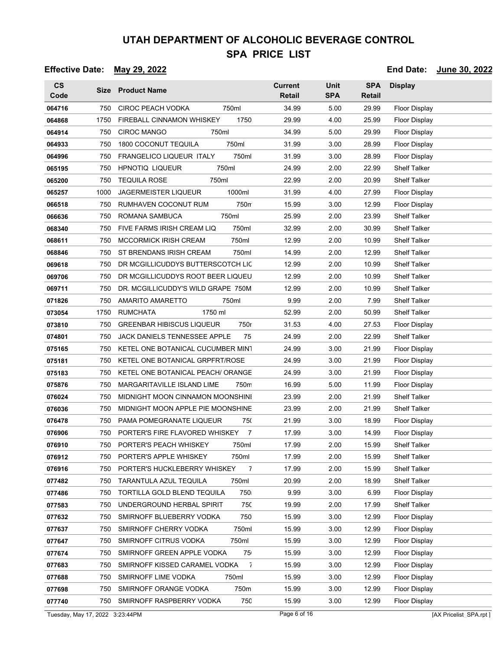| <b>CS</b><br>Code               |      | Size Product Name                                | <b>Current</b><br><b>Retail</b> | <b>Unit</b><br><b>SPA</b> | <b>SPA</b><br>Retail | <b>Display</b>         |
|---------------------------------|------|--------------------------------------------------|---------------------------------|---------------------------|----------------------|------------------------|
| 064716                          | 750  | <b>CIROC PEACH VODKA</b><br>750ml                | 34.99                           | 5.00                      | 29.99                | <b>Floor Display</b>   |
| 064868                          | 1750 | 1750<br>FIREBALL CINNAMON WHISKEY                | 29.99                           | 4.00                      | 25.99                | <b>Floor Display</b>   |
| 064914                          | 750  | <b>CIROC MANGO</b><br>750ml                      | 34.99                           | 5.00                      | 29.99                | Floor Display          |
| 064933                          | 750  | <b>1800 COCONUT TEQUILA</b><br>750ml             | 31.99                           | 3.00                      | 28.99                | <b>Floor Display</b>   |
| 064996                          | 750  | FRANGELICO LIQUEUR ITALY<br>750ml                | 31.99                           | 3.00                      | 28.99                | <b>Floor Display</b>   |
| 065195                          | 750  | <b>HPNOTIQ LIQUEUR</b><br>750ml                  | 24.99                           | 2.00                      | 22.99                | <b>Shelf Talker</b>    |
| 065200                          | 750  | <b>TEQUILA ROSE</b><br>750ml                     | 22.99                           | 2.00                      | 20.99                | <b>Shelf Talker</b>    |
| 065257                          | 1000 | <b>JAGERMEISTER LIQUEUR</b><br>1000ml            | 31.99                           | 4.00                      | 27.99                | Floor Display          |
| 066518                          | 750  | RUMHAVEN COCONUT RUM<br>750m                     | 15.99                           | 3.00                      | 12.99                | <b>Floor Display</b>   |
| 066636                          | 750  | ROMANA SAMBUCA<br>750ml                          | 25.99                           | 2.00                      | 23.99                | <b>Shelf Talker</b>    |
| 068340                          | 750  | FIVE FARMS IRISH CREAM LIQ<br>750ml              | 32.99                           | 2.00                      | 30.99                | <b>Shelf Talker</b>    |
| 068611                          | 750  | <b>MCCORMICK IRISH CREAM</b><br>750ml            | 12.99                           | 2.00                      | 10.99                | <b>Shelf Talker</b>    |
| 068846                          | 750  | ST BRENDANS IRISH CREAM<br>750ml                 | 14.99                           | 2.00                      | 12.99                | <b>Shelf Talker</b>    |
| 069618                          | 750  | DR MCGILLICUDDYS BUTTERSCOTCH LIC                | 12.99                           | 2.00                      | 10.99                | <b>Shelf Talker</b>    |
| 069706                          | 750  | DR MCGILLICUDDYS ROOT BEER LIQUEU                | 12.99                           | 2.00                      | 10.99                | <b>Shelf Talker</b>    |
| 069711                          | 750  | DR. MCGILLICUDDY'S WILD GRAPE 750M               | 12.99                           | 2.00                      | 10.99                | <b>Shelf Talker</b>    |
| 071826                          | 750  | AMARITO AMARETTO<br>750ml                        | 9.99                            | 2.00                      | 7.99                 | <b>Shelf Talker</b>    |
| 073054                          | 1750 | <b>RUMCHATA</b><br>1750 ml                       | 52.99                           | 2.00                      | 50.99                | <b>Shelf Talker</b>    |
| 073810                          | 750  | <b>GREENBAR HIBISCUS LIQUEUR</b><br>750r         | 31.53                           | 4.00                      | 27.53                | Floor Display          |
| 074801                          | 750  | <b>JACK DANIELS TENNESSEE APPLE</b><br>75        | 24.99                           | 2.00                      | 22.99                | <b>Shelf Talker</b>    |
| 075165                          | 750  | KETEL ONE BOTANICAL CUCUMBER MINT                | 24.99                           | 3.00                      | 21.99                | Floor Display          |
| 075181                          | 750  | KETEL ONE BOTANICAL GRPFRT/ROSE                  | 24.99                           | 3.00                      | 21.99                | <b>Floor Display</b>   |
| 075183                          | 750  | KETEL ONE BOTANICAL PEACH/ ORANGE                | 24.99                           | 3.00                      | 21.99                | Floor Display          |
| 075876                          | 750  | 750m<br>MARGARITAVILLE ISLAND LIME               | 16.99                           | 5.00                      | 11.99                | Floor Display          |
| 076024                          | 750  | MIDNIGHT MOON CINNAMON MOONSHINI                 | 23.99                           | 2.00                      | 21.99                | <b>Shelf Talker</b>    |
| 076036                          | 750  | MIDNIGHT MOON APPLE PIE MOONSHINE                | 23.99                           | 2.00                      | 21.99                | <b>Shelf Talker</b>    |
| 076478                          | 750  | 750<br>PAMA POMEGRANATE LIQUEUR                  | 21.99                           | 3.00                      | 18.99                | <b>Floor Display</b>   |
| 076906                          | 750  | PORTER'S FIRE FLAVORED WHISKEY<br>$\overline{7}$ | 17.99                           | 3.00                      | 14.99                | Floor Display          |
| 076910                          | 750  | PORTER'S PEACH WHISKEY<br>750ml                  | 17.99                           | 2.00                      | 15.99                | Shelf Talker           |
| 076912                          | 750  | PORTER'S APPLE WHISKEY<br>750ml                  | 17.99                           | 2.00                      | 15.99                | <b>Shelf Talker</b>    |
| 076916                          | 750  | PORTER'S HUCKLEBERRY WHISKEY<br>7                | 17.99                           | 2.00                      | 15.99                | <b>Shelf Talker</b>    |
| 077482                          | 750  | 750ml<br>TARANTULA AZUL TEQUILA                  | 20.99                           | 2.00                      | 18.99                | <b>Shelf Talker</b>    |
| 077486                          | 750  | 750<br>TORTILLA GOLD BLEND TEQUILA               | 9.99                            | 3.00                      | 6.99                 | Floor Display          |
| 077583                          | 750  | UNDERGROUND HERBAL SPIRIT<br>750                 | 19.99                           | 2.00                      | 17.99                | <b>Shelf Talker</b>    |
| 077632                          | 750  | 750<br>SMIRNOFF BLUEBERRY VODKA                  | 15.99                           | 3.00                      | 12.99                | <b>Floor Display</b>   |
| 077637                          | 750  | SMIRNOFF CHERRY VODKA<br>750ml                   | 15.99                           | 3.00                      | 12.99                | <b>Floor Display</b>   |
| 077647                          | 750  | SMIRNOFF CITRUS VODKA<br>750ml                   | 15.99                           | 3.00                      | 12.99                | <b>Floor Display</b>   |
| 077674                          | 750  | SMIRNOFF GREEN APPLE VODKA<br>75                 | 15.99                           | 3.00                      | 12.99                | <b>Floor Display</b>   |
| 077683                          | 750  | SMIRNOFF KISSED CARAMEL VODKA<br>7               | 15.99                           | 3.00                      | 12.99                | <b>Floor Display</b>   |
| 077688                          | 750  | SMIRNOFF LIME VODKA<br>750ml                     | 15.99                           | 3.00                      | 12.99                | <b>Floor Display</b>   |
| 077698                          | 750  | 750m<br>SMIRNOFF ORANGE VODKA                    | 15.99                           | 3.00                      | 12.99                | <b>Floor Display</b>   |
| 077740                          | 750  | 75C<br>SMIRNOFF RASPBERRY VODKA                  | 15.99                           | 3.00                      | 12.99                | Floor Display          |
| Tuesday, May 17, 2022 3:23:44PM |      |                                                  | Page 6 of 16                    |                           |                      | [AX Pricelist_SPA.rpt] |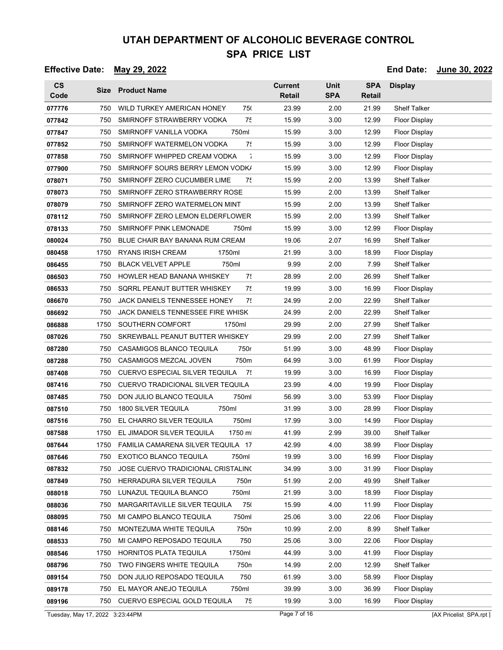### **Effective Date: May 29, 2022 End Date: June 30, 2022**

| $\mathsf{cs}$<br>Code |      | Size Product Name                         | <b>Current</b><br><b>Retail</b> | <b>Unit</b><br><b>SPA</b> | <b>SPA</b><br>Retail | <b>Display</b>       |
|-----------------------|------|-------------------------------------------|---------------------------------|---------------------------|----------------------|----------------------|
| 077776                | 750  | WILD TURKEY AMERICAN HONEY<br>750         | 23.99                           | 2.00                      | 21.99                | <b>Shelf Talker</b>  |
| 077842                | 750  | SMIRNOFF STRAWBERRY VODKA<br>7٤           | 15.99                           | 3.00                      | 12.99                | <b>Floor Display</b> |
| 077847                | 750  | 750ml<br>SMIRNOFF VANILLA VODKA           | 15.99                           | 3.00                      | 12.99                | Floor Display        |
| 077852                | 750  | 75<br>SMIRNOFF WATERMELON VODKA           | 15.99                           | 3.00                      | 12.99                | Floor Display        |
| 077858                | 750  | $\bar{1}$<br>SMIRNOFF WHIPPED CREAM VODKA | 15.99                           | 3.00                      | 12.99                | <b>Floor Display</b> |
| 077900                | 750  | SMIRNOFF SOURS BERRY LEMON VODK/          | 15.99                           | 3.00                      | 12.99                | <b>Floor Display</b> |
| 078071                | 750  | SMIRNOFF ZERO CUCUMBER LIME<br>75         | 15.99                           | 2.00                      | 13.99                | <b>Shelf Talker</b>  |
| 078073                | 750  | SMIRNOFF ZERO STRAWBERRY ROSE             | 15.99                           | 2.00                      | 13.99                | <b>Shelf Talker</b>  |
| 078079                | 750  | SMIRNOFF ZERO WATERMELON MINT             | 15.99                           | 2.00                      | 13.99                | <b>Shelf Talker</b>  |
| 078112                | 750  | SMIRNOFF ZERO LEMON ELDERFLOWER           | 15.99                           | 2.00                      | 13.99                | <b>Shelf Talker</b>  |
| 078133                | 750  | SMIRNOFF PINK LEMONADE<br>750ml           | 15.99                           | 3.00                      | 12.99                | <b>Floor Display</b> |
| 080024                | 750  | BLUE CHAIR BAY BANANA RUM CREAM           | 19.06                           | 2.07                      | 16.99                | <b>Shelf Talker</b>  |
| 080458                | 1750 | RYANS IRISH CREAM<br>1750ml               | 21.99                           | 3.00                      | 18.99                | Floor Display        |
| 086455                | 750  | 750ml<br><b>BLACK VELVET APPLE</b>        | 9.99                            | 2.00                      | 7.99                 | Shelf Talker         |
| 086503                | 750  | HOWLER HEAD BANANA WHISKEY<br>75          | 28.99                           | 2.00                      | 26.99                | <b>Shelf Talker</b>  |
| 086533                | 750  | SQRRL PEANUT BUTTER WHISKEY<br>75         | 19.99                           | 3.00                      | 16.99                | <b>Floor Display</b> |
| 086670                | 750  | 7!<br>JACK DANIELS TENNESSEE HONEY        | 24.99                           | 2.00                      | 22.99                | Shelf Talker         |
| 086692                | 750  | JACK DANIELS TENNESSEE FIRE WHISK         | 24.99                           | 2.00                      | 22.99                | <b>Shelf Talker</b>  |
| 086888                | 1750 | SOUTHERN COMFORT<br>1750ml                | 29.99                           | 2.00                      | 27.99                | <b>Shelf Talker</b>  |
| 087026                | 750  | SKREWBALL PEANUT BUTTER WHISKEY           | 29.99                           | 2.00                      | 27.99                | <b>Shelf Talker</b>  |
| 087280                | 750  | 750r<br>CASAMIGOS BLANCO TEQUILA          | 51.99                           | 3.00                      | 48.99                | Floor Display        |
| 087288                | 750  | 750m<br>CASAMIGOS MEZCAL JOVEN            | 64.99                           | 3.00                      | 61.99                | Floor Display        |
| 087408                | 750  | CUERVO ESPECIAL SILVER TEQUILA<br>- 75    | 19.99                           | 3.00                      | 16.99                | <b>Floor Display</b> |
| 087416                | 750  | CUERVO TRADICIONAL SILVER TEQUILA         | 23.99                           | 4.00                      | 19.99                | <b>Floor Display</b> |
| 087485                | 750  | DON JULIO BLANCO TEQUILA<br>750ml         | 56.99                           | 3.00                      | 53.99                | <b>Floor Display</b> |
| 087510                | 750  | 1800 SILVER TEQUILA<br>750ml              | 31.99                           | 3.00                      | 28.99                | Floor Display        |
| 087516                | 750  | EL CHARRO SILVER TEQUILA<br>750ml         | 17.99                           | 3.00                      | 14.99                | <b>Floor Display</b> |
| 087588                | 1750 | EL JIMADOR SILVER TEQUILA<br>1750 m       | 41.99                           | 2.99                      | 39.00                | <b>Shelf Talker</b>  |
| 087644                | 1750 | FAMILIA CAMARENA SILVER TEQUILA 17        | 42.99                           | 4.00                      | 38.99                | <b>Floor Display</b> |
| 087646                | 750  | EXOTICO BLANCO TEQUILA<br>750ml           | 19.99                           | 3.00                      | 16.99                | Floor Display        |
| 087832                | 750  | JOSE CUERVO TRADICIONAL CRISTALINO        | 34.99                           | 3.00                      | 31.99                | <b>Floor Display</b> |
| 087849                | 750  | HERRADURA SILVER TEQUILA<br>750m          | 51.99                           | 2.00                      | 49.99                | <b>Shelf Talker</b>  |
| 088018                | 750  | 750ml<br>LUNAZUL TEQUILA BLANCO           | 21.99                           | 3.00                      | 18.99                | <b>Floor Display</b> |
| 088036                | 750  | MARGARITAVILLE SILVER TEQUILA<br>750      | 15.99                           | 4.00                      | 11.99                | <b>Floor Display</b> |
| 088095                | 750  | 750ml<br>MI CAMPO BLANCO TEQUILA          | 25.06                           | 3.00                      | 22.06                | <b>Floor Display</b> |
| 088146                | 750  | MONTEZUMA WHITE TEQUILA<br>750n           | 10.99                           | 2.00                      | 8.99                 | <b>Shelf Talker</b>  |
| 088533                | 750  | MI CAMPO REPOSADO TEQUILA<br>750          | 25.06                           | 3.00                      | 22.06                | Floor Display        |
| 088546                | 1750 | HORNITOS PLATA TEQUILA<br>1750ml          | 44.99                           | 3.00                      | 41.99                | Floor Display        |
| 088796                | 750  | 750n<br>TWO FINGERS WHITE TEQUILA         | 14.99                           | 2.00                      | 12.99                | Shelf Talker         |
| 089154                | 750  | DON JULIO REPOSADO TEQUILA<br>750         | 61.99                           | 3.00                      | 58.99                | Floor Display        |
| 089178                | 750  | EL MAYOR ANEJO TEQUILA<br>750ml           | 39.99                           | 3.00                      | 36.99                | <b>Floor Display</b> |
| 089196                | 750  | CUERVO ESPECIAL GOLD TEQUILA<br>75        | 19.99                           | 3.00                      | 16.99                | Floor Display        |

Tuesday, May 17, 2022 3:23:44PM Page 7 of 16 **Page 7 of 16** [AX Pricelist\_SPA.rpt ]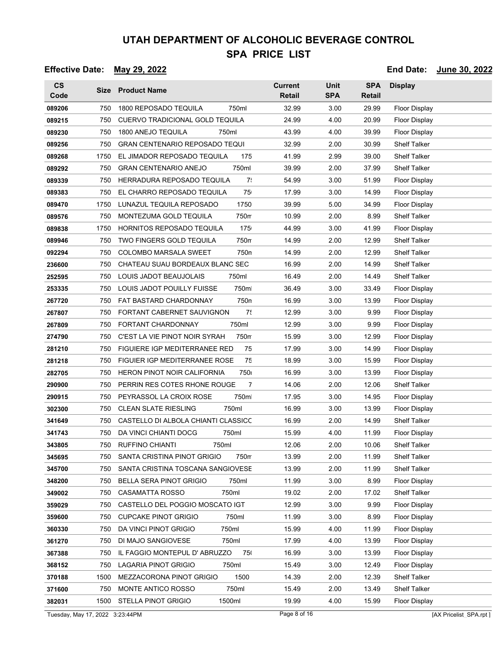### **Effective Date: May 29, 2022 End Date: June 30, 2022**

| $\mathsf{CS}\phantom{0}$<br>Code |      | Size Product Name                      | <b>Current</b><br><b>Retail</b> | <b>Unit</b><br><b>SPA</b> | <b>SPA</b><br><b>Retail</b> | <b>Display</b>       |
|----------------------------------|------|----------------------------------------|---------------------------------|---------------------------|-----------------------------|----------------------|
| 089206                           | 750  | 1800 REPOSADO TEQUILA<br>750ml         | 32.99                           | 3.00                      | 29.99                       | <b>Floor Display</b> |
| 089215                           | 750  | <b>CUERVO TRADICIONAL GOLD TEQUILA</b> | 24.99                           | 4.00                      | 20.99                       | <b>Floor Display</b> |
| 089230                           | 750  | 1800 ANEJO TEQUILA<br>750ml            | 43.99                           | 4.00                      | 39.99                       | <b>Floor Display</b> |
| 089256                           | 750  | <b>GRAN CENTENARIO REPOSADO TEQUI</b>  | 32.99                           | 2.00                      | 30.99                       | <b>Shelf Talker</b>  |
| 089268                           | 1750 | EL JIMADOR REPOSADO TEQUILA<br>175     | 41.99                           | 2.99                      | 39.00                       | <b>Shelf Talker</b>  |
| 089292                           | 750  | 750ml<br><b>GRAN CENTENARIO ANEJO</b>  | 39.99                           | 2.00                      | 37.99                       | Shelf Talker         |
| 089339                           | 750  | 7:<br>HERRADURA REPOSADO TEQUILA       | 54.99                           | 3.00                      | 51.99                       | <b>Floor Display</b> |
| 089383                           | 750  | 75<br>EL CHARRO REPOSADO TEQUILA       | 17.99                           | 3.00                      | 14.99                       | Floor Display        |
| 089470                           | 1750 | 1750<br>LUNAZUL TEQUILA REPOSADO       | 39.99                           | 5.00                      | 34.99                       | <b>Floor Display</b> |
| 089576                           | 750  | 750m<br>MONTEZUMA GOLD TEQUILA         | 10.99                           | 2.00                      | 8.99                        | Shelf Talker         |
| 089838                           | 1750 | HORNITOS REPOSADO TEQUILA<br>175       | 44.99                           | 3.00                      | 41.99                       | <b>Floor Display</b> |
| 089946                           | 750  | TWO FINGERS GOLD TEQUILA<br>750m       | 14.99                           | 2.00                      | 12.99                       | <b>Shelf Talker</b>  |
| 092294                           | 750  | <b>COLOMBO MARSALA SWEET</b><br>750n   | 14.99                           | 2.00                      | 12.99                       | <b>Shelf Talker</b>  |
| 236600                           | 750  | CHATEAU SUAU BORDEAUX BLANC SEC        | 16.99                           | 2.00                      | 14.99                       | <b>Shelf Talker</b>  |
| 252595                           | 750  | LOUIS JADOT BEAUJOLAIS<br>750ml        | 16.49                           | 2.00                      | 14.49                       | Shelf Talker         |
| 253335                           | 750  | 750m<br>LOUIS JADOT POUILLY FUISSE     | 36.49                           | 3.00                      | 33.49                       | <b>Floor Display</b> |
| 267720                           | 750  | 750n<br>FAT BASTARD CHARDONNAY         | 16.99                           | 3.00                      | 13.99                       | <b>Floor Display</b> |
| 267807                           | 750  | 7!<br>FORTANT CABERNET SAUVIGNON       | 12.99                           | 3.00                      | 9.99                        | <b>Floor Display</b> |
| 267809                           | 750  | FORTANT CHARDONNAY<br>750ml            | 12.99                           | 3.00                      | 9.99                        | <b>Floor Display</b> |
| 274790                           | 750  | C'EST LA VIE PINOT NOIR SYRAH<br>750m  | 15.99                           | 3.00                      | 12.99                       | <b>Floor Display</b> |
| 281210                           | 750  | 75<br>FIGUIERE IGP MEDITERRANEE RED    | 17.99                           | 3.00                      | 14.99                       | <b>Floor Display</b> |
| 281218                           | 750  | 75<br>FIGUIER IGP MEDITERRANEE ROSE    | 18.99                           | 3.00                      | 15.99                       | <b>Floor Display</b> |
| 282705                           | 750  | 750<br>HERON PINOT NOIR CALIFORNIA     | 16.99                           | 3.00                      | 13.99                       | <b>Floor Display</b> |
| 290900                           | 750  | 7<br>PERRIN RES COTES RHONE ROUGE      | 14.06                           | 2.00                      | 12.06                       | <b>Shelf Talker</b>  |
| 290915                           | 750  | PEYRASSOL LA CROIX ROSE<br>750m        | 17.95                           | 3.00                      | 14.95                       | <b>Floor Display</b> |
| 302300                           | 750  | <b>CLEAN SLATE RIESLING</b><br>750ml   | 16.99                           | 3.00                      | 13.99                       | <b>Floor Display</b> |
| 341649                           | 750  | CASTELLO DI ALBOLA CHIANTI CLASSICC    | 16.99                           | 2.00                      | 14.99                       | <b>Shelf Talker</b>  |
| 341743                           | 750  | 750ml<br>DA VINCI CHIANTI DOCG         | 15.99                           | 4.00                      | 11.99                       | <b>Floor Display</b> |
| 343805                           | 750  | 750ml<br><b>RUFFINO CHIANTI</b>        | 12.06                           | 2.00                      | 10.06                       | <b>Shelf Talker</b>  |
| 345695                           | 750  | SANTA CRISTINA PINOT GRIGIO<br>750m    | 13.99                           | 2.00                      | 11.99                       | <b>Shelf Talker</b>  |
| 345700                           | 750  | SANTA CRISTINA TOSCANA SANGIOVESE      | 13.99                           | 2.00                      | 11.99                       | <b>Shelf Talker</b>  |
| 348200                           | 750  | 750ml<br>BELLA SERA PINOT GRIGIO       | 11.99                           | 3.00                      | 8.99                        | <b>Floor Display</b> |
| 349002                           | 750  | 750ml<br>CASAMATTA ROSSO               | 19.02                           | 2.00                      | 17.02                       | <b>Shelf Talker</b>  |
| 359029                           | 750  | CASTELLO DEL POGGIO MOSCATO IGT        | 12.99                           | 3.00                      | 9.99                        | <b>Floor Display</b> |
| 359600                           | 750  | <b>CUPCAKE PINOT GRIGIO</b><br>750ml   | 11.99                           | 3.00                      | 8.99                        | <b>Floor Display</b> |
| 360330                           | 750  | DA VINCI PINOT GRIGIO<br>750ml         | 15.99                           | 4.00                      | 11.99                       | <b>Floor Display</b> |
| 361270                           | 750  | DI MAJO SANGIOVESE<br>750ml            | 17.99                           | 4.00                      | 13.99                       | <b>Floor Display</b> |
| 367388                           | 750  | IL FAGGIO MONTEPUL D'ABRUZZO<br>750    | 16.99                           | 3.00                      | 13.99                       | <b>Floor Display</b> |
| 368152                           | 750  | LAGARIA PINOT GRIGIO<br>750ml          | 15.49                           | 3.00                      | 12.49                       | <b>Floor Display</b> |
| 370188                           | 1500 | 1500<br>MEZZACORONA PINOT GRIGIO       | 14.39                           | 2.00                      | 12.39                       | <b>Shelf Talker</b>  |
| 371600                           | 750  | MONTE ANTICO ROSSO<br>750ml            | 15.49                           | 2.00                      | 13.49                       | <b>Shelf Talker</b>  |
| 382031                           | 1500 | <b>STELLA PINOT GRIGIO</b><br>1500ml   | 19.99                           | 4.00                      | 15.99                       | <b>Floor Display</b> |

Tuesday, May 17, 2022 3:23:44PM Page 8 of 16 [AX Pricelist\_SPA.rpt ]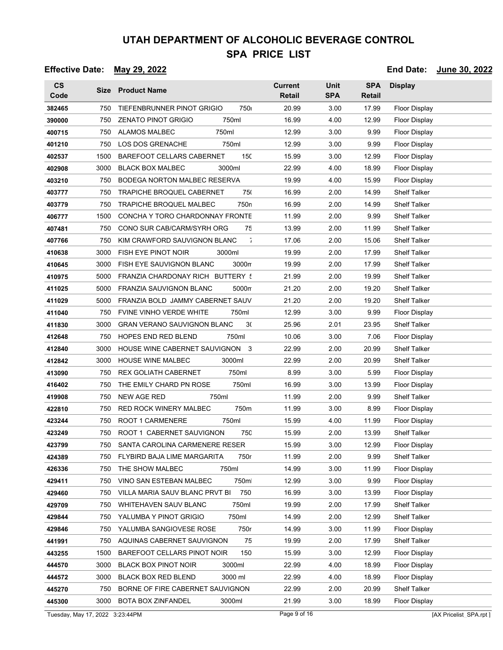#### **Effective Date: May 29, 2022 End Date: June 30, 2022**

| $\mathsf{CS}\phantom{0}$<br>Code |      | Size Product Name                           | <b>Current</b><br><b>Retail</b> | <b>Unit</b><br><b>SPA</b> | <b>SPA</b><br>Retail | <b>Display</b>       |
|----------------------------------|------|---------------------------------------------|---------------------------------|---------------------------|----------------------|----------------------|
| 382465                           | 750  | 750<br>TIEFENBRUNNER PINOT GRIGIO           | 20.99                           | 3.00                      | 17.99                | <b>Floor Display</b> |
| 390000                           | 750  | 750ml<br><b>ZENATO PINOT GRIGIO</b>         | 16.99                           | 4.00                      | 12.99                | <b>Floor Display</b> |
| 400715                           | 750  | ALAMOS MALBEC<br>750ml                      | 12.99                           | 3.00                      | 9.99                 | Floor Display        |
| 401210                           | 750  | <b>LOS DOS GRENACHE</b><br>750ml            | 12.99                           | 3.00                      | 9.99                 | <b>Floor Display</b> |
| 402537                           | 1500 | 150<br><b>BAREFOOT CELLARS CABERNET</b>     | 15.99                           | 3.00                      | 12.99                | <b>Floor Display</b> |
| 402908                           | 3000 | <b>BLACK BOX MALBEC</b><br>3000ml           | 22.99                           | 4.00                      | 18.99                | <b>Floor Display</b> |
| 403210                           | 750  | BODEGA NORTON MALBEC RESERVA                | 19.99                           | 4.00                      | 15.99                | <b>Floor Display</b> |
| 403777                           | 750  | TRAPICHE BROQUEL CABERNET<br>750            | 16.99                           | 2.00                      | 14.99                | <b>Shelf Talker</b>  |
| 403779                           | 750  | 750 <sub>n</sub><br>TRAPICHE BROQUEL MALBEC | 16.99                           | 2.00                      | 14.99                | <b>Shelf Talker</b>  |
| 406777                           | 1500 | CONCHA Y TORO CHARDONNAY FRONTE             | 11.99                           | 2.00                      | 9.99                 | <b>Shelf Talker</b>  |
| 407481                           | 750  | 75<br>CONO SUR CAB/CARM/SYRH ORG            | 13.99                           | 2.00                      | 11.99                | <b>Shelf Talker</b>  |
| 407766                           | 750  | ÷,<br>KIM CRAWFORD SAUVIGNON BLANC          | 17.06                           | 2.00                      | 15.06                | <b>Shelf Talker</b>  |
| 410638                           | 3000 | FISH EYE PINOT NOIR<br>3000ml               | 19.99                           | 2.00                      | 17.99                | <b>Shelf Talker</b>  |
| 410645                           | 3000 | FISH EYE SAUVIGNON BLANC<br>3000m           | 19.99                           | 2.00                      | 17.99                | <b>Shelf Talker</b>  |
| 410975                           | 5000 | FRANZIA CHARDONAY RICH BUTTERY 5            | 21.99                           | 2.00                      | 19.99                | <b>Shelf Talker</b>  |
| 411025                           | 5000 | FRANZIA SAUVIGNON BLANC<br>5000m            | 21.20                           | 2.00                      | 19.20                | <b>Shelf Talker</b>  |
| 411029                           | 5000 | FRANZIA BOLD JAMMY CABERNET SAUV            | 21.20                           | 2.00                      | 19.20                | <b>Shelf Talker</b>  |
| 411040                           | 750  | <b>FVINE VINHO VERDE WHITE</b><br>750ml     | 12.99                           | 3.00                      | 9.99                 | <b>Floor Display</b> |
| 411830                           | 3000 | <b>GRAN VERANO SAUVIGNON BLANC</b><br>30    | 25.96                           | 2.01                      | 23.95                | <b>Shelf Talker</b>  |
| 412648                           | 750  | <b>HOPES END RED BLEND</b><br>750ml         | 10.06                           | 3.00                      | 7.06                 | <b>Floor Display</b> |
| 412840                           | 3000 | HOUSE WINE CABERNET SAUVIGNON 3             | 22.99                           | 2.00                      | 20.99                | <b>Shelf Talker</b>  |
| 412842                           | 3000 | <b>HOUSE WINE MALBEC</b><br>3000ml          | 22.99                           | 2.00                      | 20.99                | <b>Shelf Talker</b>  |
| 413090                           | 750  | <b>REX GOLIATH CABERNET</b><br>750ml        | 8.99                            | 3.00                      | 5.99                 | Floor Display        |
| 416402                           | 750  | 750ml<br>THE EMILY CHARD PN ROSE            | 16.99                           | 3.00                      | 13.99                | Floor Display        |
| 419908                           | 750  | NEW AGE RED<br>750ml                        | 11.99                           | 2.00                      | 9.99                 | <b>Shelf Talker</b>  |
| 422810                           | 750  | <b>RED ROCK WINERY MALBEC</b><br>750m       | 11.99                           | 3.00                      | 8.99                 | Floor Display        |
| 423244                           | 750  | 750ml<br><b>ROOT 1 CARMENERE</b>            | 15.99                           | 4.00                      | 11.99                | <b>Floor Display</b> |
| 423249                           | 750  | ROOT 1 CABERNET SAUVIGNON<br>750            | 15.99                           | 2.00                      | 13.99                | <b>Shelf Talker</b>  |
| 423799                           | 750  | SANTA CAROLINA CARMENERE RESER              | 15.99                           | 3.00                      | 12.99                | Floor Display        |
| 424389                           | 750  | FLYBIRD BAJA LIME MARGARITA<br>750r         | 11.99                           | 2.00                      | 9.99                 | <b>Shelf Talker</b>  |
| 426336                           | 750  | THE SHOW MALBEC<br>750ml                    | 14.99                           | 3.00                      | 11.99                | <b>Floor Display</b> |
| 429411                           | 750  | 750m<br>VINO SAN ESTEBAN MALBEC             | 12.99                           | 3.00                      | 9.99                 | <b>Floor Display</b> |
| 429460                           | 750  | 750<br>VILLA MARIA SAUV BLANC PRVT BI       | 16.99                           | 3.00                      | 13.99                | <b>Floor Display</b> |
| 429709                           | 750  | 750ml<br>WHITEHAVEN SAUV BLANC              | 19.99                           | 2.00                      | 17.99                | <b>Shelf Talker</b>  |
| 429844                           | 750  | 750ml<br>YALUMBA Y PINOT GRIGIO             | 14.99                           | 2.00                      | 12.99                | <b>Shelf Talker</b>  |
| 429846                           | 750  | YALUMBA SANGIOVESE ROSE<br>750r             | 14.99                           | 3.00                      | 11.99                | <b>Floor Display</b> |
| 441991                           | 750  | 75<br>AQUINAS CABERNET SAUVIGNON            | 19.99                           | 2.00                      | 17.99                | <b>Shelf Talker</b>  |
| 443255                           | 1500 | BAREFOOT CELLARS PINOT NOIR<br>150          | 15.99                           | 3.00                      | 12.99                | <b>Floor Display</b> |
| 444570                           | 3000 | <b>BLACK BOX PINOT NOIR</b><br>3000ml       | 22.99                           | 4.00                      | 18.99                | <b>Floor Display</b> |
| 444572                           | 3000 | <b>BLACK BOX RED BLEND</b><br>3000 ml       | 22.99                           | 4.00                      | 18.99                | <b>Floor Display</b> |
| 445270                           | 750  | BORNE OF FIRE CABERNET SAUVIGNON            | 22.99                           | 2.00                      | 20.99                | <b>Shelf Talker</b>  |
| 445300                           | 3000 | 3000ml<br>BOTA BOX ZINFANDEL                | 21.99                           | 3.00                      | 18.99                | <b>Floor Display</b> |

Tuesday, May 17, 2022 3:23:44PM Page 9 of 16 [AX Pricelist\_SPA.rpt ]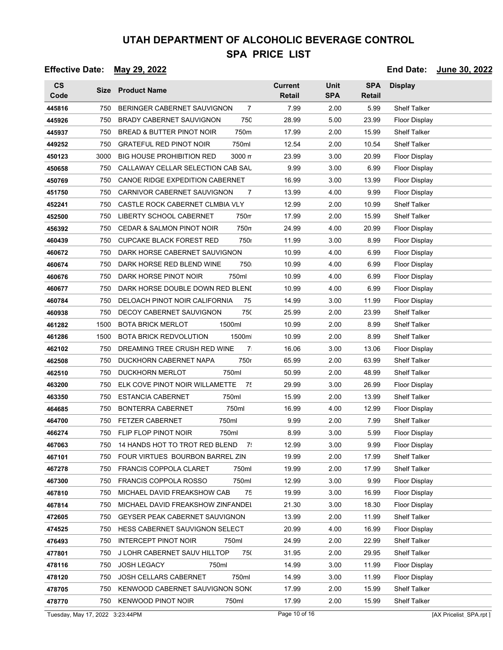### **Effective Date: May 29, 2022 End Date: June 30, 2022**

| <b>CS</b><br>Code |      | Size Product Name                              | <b>Current</b><br><b>Retail</b> | <b>Unit</b><br><b>SPA</b> | <b>SPA</b><br>Retail | <b>Display</b>       |
|-------------------|------|------------------------------------------------|---------------------------------|---------------------------|----------------------|----------------------|
| 445816            | 750  | BERINGER CABERNET SAUVIGNON<br>7               | 7.99                            | 2.00                      | 5.99                 | <b>Shelf Talker</b>  |
| 445926            | 750  | <b>BRADY CABERNET SAUVIGNON</b><br>750         | 28.99                           | 5.00                      | 23.99                | <b>Floor Display</b> |
| 445937            | 750  | BREAD & BUTTER PINOT NOIR<br>750m              | 17.99                           | 2.00                      | 15.99                | <b>Shelf Talker</b>  |
| 449252            | 750  | <b>GRATEFUL RED PINOT NOIR</b><br>750ml        | 12.54                           | 2.00                      | 10.54                | <b>Shelf Talker</b>  |
| 450123            | 3000 | <b>BIG HOUSE PROHIBITION RED</b><br>3000 m     | 23.99                           | 3.00                      | 20.99                | <b>Floor Display</b> |
| 450658            | 750  | CALLAWAY CELLAR SELECTION CAB SAL              | 9.99                            | 3.00                      | 6.99                 | <b>Floor Display</b> |
| 450769            | 750  | CANOE RIDGE EXPEDITION CABERNET                | 16.99                           | 3.00                      | 13.99                | <b>Floor Display</b> |
| 451750            | 750  | CARNIVOR CABERNET SAUVIGNON<br>$\overline{7}$  | 13.99                           | 4.00                      | 9.99                 | <b>Floor Display</b> |
| 452241            | 750  | CASTLE ROCK CABERNET CLMBIA VLY                | 12.99                           | 2.00                      | 10.99                | <b>Shelf Talker</b>  |
| 452500            | 750  | 750m<br>LIBERTY SCHOOL CABERNET                | 17.99                           | 2.00                      | 15.99                | Shelf Talker         |
| 456392            | 750  | 750n<br><b>CEDAR &amp; SALMON PINOT NOIR</b>   | 24.99                           | 4.00                      | 20.99                | <b>Floor Display</b> |
| 460439            | 750  | <b>750</b><br><b>CUPCAKE BLACK FOREST RED</b>  | 11.99                           | 3.00                      | 8.99                 | <b>Floor Display</b> |
| 460672            | 750  | DARK HORSE CABERNET SAUVIGNON                  | 10.99                           | 4.00                      | 6.99                 | Floor Display        |
| 460674            | 750  | 750<br>DARK HORSE RED BLEND WINE               | 10.99                           | 4.00                      | 6.99                 | Floor Display        |
| 460676            | 750  | 750ml<br>DARK HORSE PINOT NOIR                 | 10.99                           | 4.00                      | 6.99                 | Floor Display        |
| 460677            | 750  | DARK HORSE DOUBLE DOWN RED BLENI               | 10.99                           | 4.00                      | 6.99                 | Floor Display        |
| 460784            | 750  | DELOACH PINOT NOIR CALIFORNIA<br>75            | 14.99                           | 3.00                      | 11.99                | Floor Display        |
| 460938            | 750  | 750<br>DECOY CABERNET SAUVIGNON                | 25.99                           | 2.00                      | 23.99                | Shelf Talker         |
| 461282            | 1500 | 1500ml<br><b>BOTA BRICK MERLOT</b>             | 10.99                           | 2.00                      | 8.99                 | <b>Shelf Talker</b>  |
| 461286            | 1500 | <b>BOTA BRICK REDVOLUTION</b><br>1500m         | 10.99                           | 2.00                      | 8.99                 | <b>Shelf Talker</b>  |
| 462102            | 750  | DREAMING TREE CRUSH RED WINE<br>7 <sup>1</sup> | 16.06                           | 3.00                      | 13.06                | Floor Display        |
| 462508            | 750  | 750r<br>DUCKHORN CABERNET NAPA                 | 65.99                           | 2.00                      | 63.99                | <b>Shelf Talker</b>  |
| 462510            | 750  | <b>DUCKHORN MERLOT</b><br>750ml                | 50.99                           | 2.00                      | 48.99                | Shelf Talker         |
| 463200            | 750  | ELK COVE PINOT NOIR WILLAMETTE<br>75           | 29.99                           | 3.00                      | 26.99                | <b>Floor Display</b> |
| 463350            | 750  | 750ml<br><b>ESTANCIA CABERNET</b>              | 15.99                           | 2.00                      | 13.99                | <b>Shelf Talker</b>  |
| 464685            | 750  | 750ml<br><b>BONTERRA CABERNET</b>              | 16.99                           | 4.00                      | 12.99                | <b>Floor Display</b> |
| 464700            | 750  | 750ml<br><b>FETZER CABERNET</b>                | 9.99                            | 2.00                      | 7.99                 | <b>Shelf Talker</b>  |
| 466274            | 750  | FLIP FLOP PINOT NOIR<br>750ml                  | 8.99                            | 3.00                      | 5.99                 | Floor Display        |
| 467063            | 750  | 14 HANDS HOT TO TROT RED BLEND<br>$-7!$        | 12.99                           | 3.00                      | 9.99                 | Floor Display        |
| 467101            | 750  | FOUR VIRTUES BOURBON BARREL ZIN                | 19.99                           | 2.00                      | 17.99                | Shelf Talker         |
| 467278            | 750  | FRANCIS COPPOLA CLARET<br>750ml                | 19.99                           | 2.00                      | 17.99                | <b>Shelf Talker</b>  |
| 467300            | 750  | <b>FRANCIS COPPOLA ROSSO</b><br>750ml          | 12.99                           | 3.00                      | 9.99                 | Floor Display        |
| 467810            | 750  | MICHAEL DAVID FREAKSHOW CAB<br>75              | 19.99                           | 3.00                      | 16.99                | <b>Floor Display</b> |
| 467814            | 750  | MICHAEL DAVID FREAKSHOW ZINFANDEL              | 21.30                           | 3.00                      | 18.30                | Floor Display        |
| 472605            | 750  | <b>GEYSER PEAK CABERNET SAUVIGNON</b>          | 13.99                           | 2.00                      | 11.99                | <b>Shelf Talker</b>  |
| 474525            | 750  | HESS CABERNET SAUVIGNON SELECT                 | 20.99                           | 4.00                      | 16.99                | Floor Display        |
| 476493            | 750  | INTERCEPT PINOT NOIR<br>750ml                  | 24.99                           | 2.00                      | 22.99                | <b>Shelf Talker</b>  |
| 477801            | 750  | J LOHR CABERNET SAUV HILLTOP<br>750            | 31.95                           | 2.00                      | 29.95                | <b>Shelf Talker</b>  |
| 478116            | 750  | JOSH LEGACY<br>750ml                           | 14.99                           | 3.00                      | 11.99                | Floor Display        |
| 478120            | 750  | 750ml<br>JOSH CELLARS CABERNET                 | 14.99                           | 3.00                      | 11.99                | <b>Floor Display</b> |
| 478705            | 750  | KENWOOD CABERNET SAUVIGNON SONG                | 17.99                           | 2.00                      | 15.99                | <b>Shelf Talker</b>  |
| 478770            | 750  | <b>KENWOOD PINOT NOIR</b><br>750ml             | 17.99                           | 2.00                      | 15.99                | <b>Shelf Talker</b>  |

Tuesday, May 17, 2022 3:23:44PM Page 10 of 16 Page 10 of 16 [AX Pricelist\_SPA.rpt ]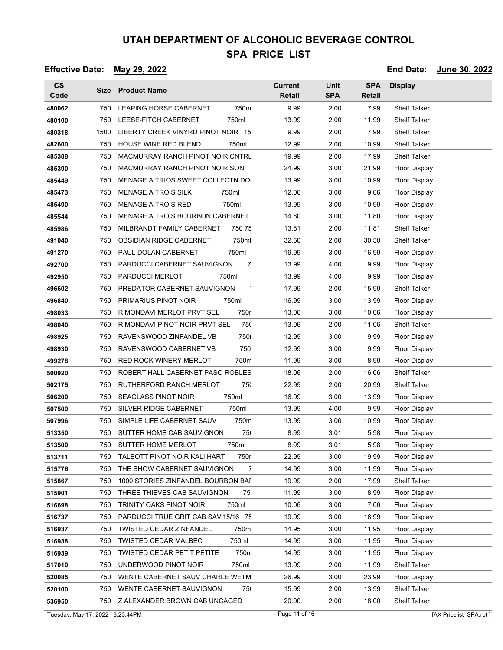| $\mathsf{cs}$<br>Code           |      | Size Product Name                         | <b>Current</b><br>Retail | <b>Unit</b><br><b>SPA</b> | <b>SPA</b><br>Retail | <b>Display</b>         |
|---------------------------------|------|-------------------------------------------|--------------------------|---------------------------|----------------------|------------------------|
| 480062                          | 750  | LEAPING HORSE CABERNET<br>750m            | 9.99                     | 2.00                      | 7.99                 | <b>Shelf Talker</b>    |
| 480100                          | 750  | LEESE-FITCH CABERNET<br>750ml             | 13.99                    | 2.00                      | 11.99                | <b>Shelf Talker</b>    |
| 480318                          | 1500 | LIBERTY CREEK VINYRD PINOT NOIR 15        | 9.99                     | 2.00                      | 7.99                 | <b>Shelf Talker</b>    |
| 482600                          | 750  | 750ml<br>HOUSE WINE RED BLEND             | 12.99                    | 2.00                      | 10.99                | <b>Shelf Talker</b>    |
| 485388                          | 750  | MACMURRAY RANCH PINOT NOIR CNTRL          | 19.99                    | 2.00                      | 17.99                | <b>Shelf Talker</b>    |
| 485390                          | 750  | MACMURRAY RANCH PINOT NOIR SON            | 24.99                    | 3.00                      | 21.99                | <b>Floor Display</b>   |
| 485449                          | 750  | MENAGE A TRIOS SWEET COLLECTN DOI         | 13.99                    | 3.00                      | 10.99                | Floor Display          |
| 485473                          | 750  | <b>MENAGE A TROIS SILK</b><br>750ml       | 12.06                    | 3.00                      | 9.06                 | Floor Display          |
| 485490                          | 750  | 750ml<br>MENAGE A TROIS RED               | 13.99                    | 3.00                      | 10.99                | <b>Floor Display</b>   |
| 485544                          | 750  | <b>MENAGE A TROIS BOURBON CABERNET</b>    | 14.80                    | 3.00                      | 11.80                | <b>Floor Display</b>   |
| 485986                          | 750  | MILBRANDT FAMILY CABERNET<br>750 75       | 13.81                    | 2.00                      | 11.81                | <b>Shelf Talker</b>    |
| 491040                          | 750  | <b>OBSIDIAN RIDGE CABERNET</b><br>750ml   | 32.50                    | 2.00                      | 30.50                | <b>Shelf Talker</b>    |
| 491270                          | 750  | 750ml<br>PAUL DOLAN CABERNET              | 19.99                    | 3.00                      | 16.99                | <b>Floor Display</b>   |
| 492700                          | 750  | PARDUCCI CABERNET SAUVIGNON<br>7          | 13.99                    | 4.00                      | 9.99                 | Floor Display          |
| 492950                          | 750  | PARDUCCI MERLOT<br>750ml                  | 13.99                    | 4.00                      | 9.99                 | <b>Floor Display</b>   |
| 496602                          | 750  | $\bar{1}$<br>PREDATOR CABERNET SAUVIGNON  | 17.99                    | 2.00                      | 15.99                | <b>Shelf Talker</b>    |
| 496840                          | 750  | PRIMARIUS PINOT NOIR<br>750ml             | 16.99                    | 3.00                      | 13.99                | Floor Display          |
| 498033                          | 750  | 750r<br>R MONDAVI MERLOT PRVT SEL         | 13.06                    | 3.00                      | 10.06                | <b>Floor Display</b>   |
| 498040                          | 750  | 75C<br>R MONDAVI PINOT NOIR PRVT SEL      | 13.06                    | 2.00                      | 11.06                | <b>Shelf Talker</b>    |
| 498925                          | 750  | 750r<br>RAVENSWOOD ZINFANDEL VB           | 12.99                    | 3.00                      | 9.99                 | <b>Floor Display</b>   |
| 498930                          | 750  | 750<br>RAVENSWOOD CABERNET VB             | 12.99                    | 3.00                      | 9.99                 | Floor Display          |
| 499278                          | 750  | <b>RED ROCK WINERY MERLOT</b><br>750m     | 11.99                    | 3.00                      | 8.99                 | <b>Floor Display</b>   |
| 500920                          | 750  | ROBERT HALL CABERNET PASO ROBLES          | 18.06                    | 2.00                      | 16.06                | <b>Shelf Talker</b>    |
| 502175                          | 750  | RUTHERFORD RANCH MERLOT<br>750            | 22.99                    | 2.00                      | 20.99                | <b>Shelf Talker</b>    |
| 506200                          | 750  | <b>SEAGLASS PINOT NOIR</b><br>750ml       | 16.99                    | 3.00                      | 13.99                | <b>Floor Display</b>   |
| 507500                          | 750  | 750ml<br>SILVER RIDGE CABERNET            | 13.99                    | 4.00                      | 9.99                 | Floor Display          |
| 507996                          | 750  | 750m<br>SIMPLE LIFE CABERNET SAUV         | 13.99                    | 3.00                      | 10.99                | Floor Display          |
| 513350                          | 750  | SUTTER HOME CAB SAUVIGNON<br>75(          | 8.99                     | 3.01                      | 5.98                 | Floor Display          |
| 513500                          | 750  | SUTTER HOME MERLOT<br>750ml               | 8.99                     | 3.01                      | 5.98                 | Floor Display          |
| 513711                          | 750  | TALBOTT PINOT NOIR KALI HART<br>750r      | 22.99                    | 3.00                      | 19.99                | Floor Display          |
| 515776                          | 750  | THE SHOW CABERNET SAUVIGNON<br>7          | 14.99                    | 3.00                      | 11.99                | <b>Floor Display</b>   |
| 515867                          | 750  | 1000 STORIES ZINFANDEL BOURBON BAF        | 19.99                    | 2.00                      | 17.99                | <b>Shelf Talker</b>    |
| 515901                          | 750  | THREE THIEVES CAB SAUVIGNON<br>75         | 11.99                    | 3.00                      | 8.99                 | Floor Display          |
| 516698                          | 750  | 750ml<br>TRINITY OAKS PINOT NOIR          | 10.06                    | 3.00                      | 7.06                 | Floor Display          |
| 516737                          | 750  | PARDUCCI TRUE GRIT CAB SAV'15/16 75       | 19.99                    | 3.00                      | 16.99                | Floor Display          |
| 516937                          | 750  | <b>TWISTED CEDAR ZINFANDEL</b><br>750m    | 14.95                    | 3.00                      | 11.95                | <b>Floor Display</b>   |
| 516938                          | 750  | <b>TWISTED CEDAR MALBEC</b><br>750ml      | 14.95                    | 3.00                      | 11.95                | Floor Display          |
| 516939                          | 750  | <b>TWISTED CEDAR PETIT PETITE</b><br>750m | 14.95                    | 3.00                      | 11.95                | <b>Floor Display</b>   |
| 517010                          | 750  | UNDERWOOD PINOT NOIR<br>750ml             | 13.99                    | 2.00                      | 11.99                | <b>Shelf Talker</b>    |
| 520085                          | 750  | WENTE CABERNET SAUV CHARLE WETM           | 26.99                    | 3.00                      | 23.99                | <b>Floor Display</b>   |
| 520100                          | 750  | WENTE CABERNET SAUVIGNON<br>750           | 15.99                    | 2.00                      | 13.99                | <b>Shelf Talker</b>    |
| 536950                          |      | 750 Z ALEXANDER BROWN CAB UNCAGED         | 20.00                    | 2.00                      | 18.00                | <b>Shelf Talker</b>    |
| Tuesday, May 17, 2022 3:23:44PM |      |                                           | Page 11 of 16            |                           |                      | [AX Pricelist_SPA.rpt] |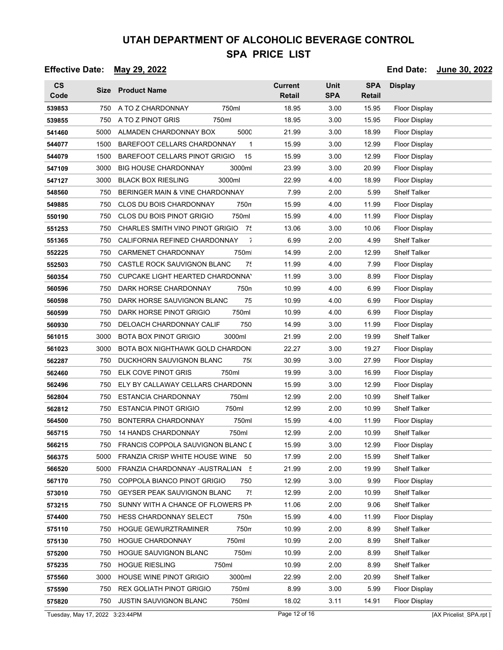### **Effective Date: May 29, 2022 End Date: June 30, 2022**

| $\mathsf{CS}\phantom{0}$<br>Code |      | Size Product Name                           | <b>Current</b><br><b>Retail</b> | <b>Unit</b><br><b>SPA</b> | <b>SPA</b><br><b>Retail</b> | <b>Display</b>       |
|----------------------------------|------|---------------------------------------------|---------------------------------|---------------------------|-----------------------------|----------------------|
| 539853                           | 750  | A TO Z CHARDONNAY<br>750ml                  | 18.95                           | 3.00                      | 15.95                       | <b>Floor Display</b> |
| 539855                           | 750  | A TO Z PINOT GRIS<br>750ml                  | 18.95                           | 3.00                      | 15.95                       | <b>Floor Display</b> |
| 541460                           | 5000 | ALMADEN CHARDONNAY BOX<br>500C              | 21.99                           | 3.00                      | 18.99                       | Floor Display        |
| 544077                           | 1500 | BAREFOOT CELLARS CHARDONNAY<br>$\mathbf{1}$ | 15.99                           | 3.00                      | 12.99                       | Floor Display        |
| 544079                           | 1500 | 15<br>BAREFOOT CELLARS PINOT GRIGIO         | 15.99                           | 3.00                      | 12.99                       | <b>Floor Display</b> |
| 547109                           | 3000 | 3000ml<br><b>BIG HOUSE CHARDONNAY</b>       | 23.99                           | 3.00                      | 20.99                       | Floor Display        |
| 547127                           | 3000 | 3000ml<br><b>BLACK BOX RIESLING</b>         | 22.99                           | 4.00                      | 18.99                       | <b>Floor Display</b> |
| 548560                           | 750  | BERINGER MAIN & VINE CHARDONNAY             | 7.99                            | 2.00                      | 5.99                        | <b>Shelf Talker</b>  |
| 549885                           | 750  | <b>CLOS DU BOIS CHARDONNAY</b><br>750n      | 15.99                           | 4.00                      | 11.99                       | <b>Floor Display</b> |
| 550190                           | 750  | CLOS DU BOIS PINOT GRIGIO<br>750ml          | 15.99                           | 4.00                      | 11.99                       | Floor Display        |
| 551253                           | 750  | CHARLES SMITH VINO PINOT GRIGIO<br>75       | 13.06                           | 3.00                      | 10.06                       | Floor Display        |
| 551365                           | 750  | $\bar{1}$<br>CALIFORNIA REFINED CHARDONNAY  | 6.99                            | 2.00                      | 4.99                        | <b>Shelf Talker</b>  |
| 552225                           | 750  | 750m<br>CARMENET CHARDONNAY                 | 14.99                           | 2.00                      | 12.99                       | <b>Shelf Talker</b>  |
| 552503                           | 750  | 75<br>CASTLE ROCK SAUVIGNON BLANC           | 11.99                           | 4.00                      | 7.99                        | Floor Display        |
| 560354                           | 750  | CUPCAKE LIGHT HEARTED CHARDONNA'            | 11.99                           | 3.00                      | 8.99                        | Floor Display        |
| 560596                           | 750  | DARK HORSE CHARDONNAY<br>750n               | 10.99                           | 4.00                      | 6.99                        | Floor Display        |
| 560598                           | 750  | DARK HORSE SAUVIGNON BLANC<br>75            | 10.99                           | 4.00                      | 6.99                        | Floor Display        |
| 560599                           | 750  | 750ml<br>DARK HORSE PINOT GRIGIO            | 10.99                           | 4.00                      | 6.99                        | <b>Floor Display</b> |
| 560930                           | 750  | DELOACH CHARDONNAY CALIF<br>750             | 14.99                           | 3.00                      | 11.99                       | Floor Display        |
| 561015                           | 3000 | <b>BOTA BOX PINOT GRIGIO</b><br>3000ml      | 21.99                           | 2.00                      | 19.99                       | <b>Shelf Talker</b>  |
| 561023                           | 3000 | BOTA BOX NIGHTHAWK GOLD CHARDON             | 22.27                           | 3.00                      | 19.27                       | Floor Display        |
| 562287                           | 750  | DUCKHORN SAUVIGNON BLANC<br>750             | 30.99                           | 3.00                      | 27.99                       | Floor Display        |
| 562460                           | 750  | 750ml<br>ELK COVE PINOT GRIS                | 19.99                           | 3.00                      | 16.99                       | Floor Display        |
| 562496                           | 750  | ELY BY CALLAWAY CELLARS CHARDONN            | 15.99                           | 3.00                      | 12.99                       | <b>Floor Display</b> |
| 562804                           | 750  | <b>ESTANCIA CHARDONNAY</b><br>750ml         | 12.99                           | 2.00                      | 10.99                       | <b>Shelf Talker</b>  |
| 562812                           | 750  | 750ml<br><b>ESTANCIA PINOT GRIGIO</b>       | 12.99                           | 2.00                      | 10.99                       | <b>Shelf Talker</b>  |
| 564500                           | 750  | 750ml<br>BONTERRA CHARDONNAY                | 15.99                           | 4.00                      | 11.99                       | <b>Floor Display</b> |
| 565715                           | 750  | <b>14 HANDS CHARDONNAY</b><br>750ml         | 12.99                           | 2.00                      | 10.99                       | <b>Shelf Talker</b>  |
| 566215                           | 750  | FRANCIS COPPOLA SAUVIGNON BLANC I           | 15.99                           | 3.00                      | 12.99                       | Floor Display        |
| 566375                           |      | 5000 FRANZIA CRISP WHITE HOUSE WINE 50      | 17.99                           | 2.00                      | 15.99                       | <b>Shelf Talker</b>  |
| 566520                           | 5000 | FRANZIA CHARDONNAY -AUSTRALIAN 5            | 21.99                           | 2.00                      | 19.99                       | <b>Shelf Talker</b>  |
| 567170                           | 750  | COPPOLA BIANCO PINOT GRIGIO<br>750          | 12.99                           | 3.00                      | 9.99                        | Floor Display        |
| 573010                           | 750  | 75<br><b>GEYSER PEAK SAUVIGNON BLANC</b>    | 12.99                           | 2.00                      | 10.99                       | <b>Shelf Talker</b>  |
| 573215                           | 750  | SUNNY WITH A CHANCE OF FLOWERS PN           | 11.06                           | 2.00                      | 9.06                        | <b>Shelf Talker</b>  |
| 574400                           | 750  | 750n<br><b>HESS CHARDONNAY SELECT</b>       | 15.99                           | 4.00                      | 11.99                       | Floor Display        |
| 575110                           | 750  | 750m<br>HOGUE GEWURZTRAMINER                | 10.99                           | 2.00                      | 8.99                        | <b>Shelf Talker</b>  |
| 575130                           | 750  | HOGUE CHARDONNAY<br>750ml                   | 10.99                           | 2.00                      | 8.99                        | <b>Shelf Talker</b>  |
| 575200                           | 750  | <b>HOGUE SAUVIGNON BLANC</b><br>750m        | 10.99                           | 2.00                      | 8.99                        | <b>Shelf Talker</b>  |
| 575235                           | 750  | 750ml<br><b>HOGUE RIESLING</b>              | 10.99                           | 2.00                      | 8.99                        | Shelf Talker         |
| 575560                           | 3000 | HOUSE WINE PINOT GRIGIO<br>3000ml           | 22.99                           | 2.00                      | 20.99                       | <b>Shelf Talker</b>  |
| 575590                           | 750  | 750ml<br>REX GOLIATH PINOT GRIGIO           | 8.99                            | 3.00                      | 5.99                        | <b>Floor Display</b> |
| 575820                           | 750  | 750ml<br><b>JUSTIN SAUVIGNON BLANC</b>      | 18.02                           | 3.11                      | 14.91                       | <b>Floor Display</b> |

Tuesday, May 17, 2022 3:23:44PM Page 12 of 16 Page 12 of 16 [AX Pricelist\_SPA.rpt ]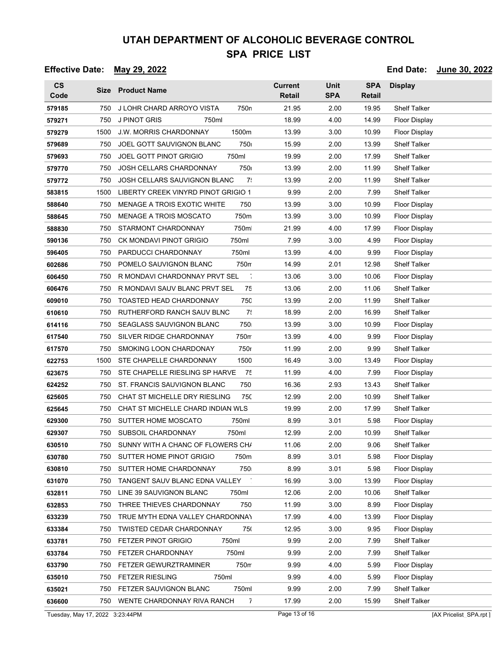### **Effective Date: May 29, 2022 End Date: June 30, 2022**

| $\mathsf{CS}\phantom{0}$<br>Code |      | Size Product Name                       | <b>Current</b><br><b>Retail</b> | <b>Unit</b><br><b>SPA</b> | <b>SPA</b><br>Retail | <b>Display</b>       |
|----------------------------------|------|-----------------------------------------|---------------------------------|---------------------------|----------------------|----------------------|
| 579185                           | 750  | J LOHR CHARD ARROYO VISTA<br>750n       | 21.95                           | 2.00                      | 19.95                | <b>Shelf Talker</b>  |
| 579271                           | 750  | J PINOT GRIS<br>750ml                   | 18.99                           | 4.00                      | 14.99                | <b>Floor Display</b> |
| 579279                           | 1500 | <b>J.W. MORRIS CHARDONNAY</b><br>1500m  | 13.99                           | 3.00                      | 10.99                | <b>Floor Display</b> |
| 579689                           | 750  | JOEL GOTT SAUVIGNON BLANC<br>750        | 15.99                           | 2.00                      | 13.99                | <b>Shelf Talker</b>  |
| 579693                           | 750  | <b>JOEL GOTT PINOT GRIGIO</b><br>750ml  | 19.99                           | 2.00                      | 17.99                | Shelf Talker         |
| 579770                           | 750  | 750<br><b>JOSH CELLARS CHARDONNAY</b>   | 13.99                           | 2.00                      | 11.99                | <b>Shelf Talker</b>  |
| 579772                           | 750  | 7:<br>JOSH CELLARS SAUVIGNON BLANC      | 13.99                           | 2.00                      | 11.99                | <b>Shelf Talker</b>  |
| 583815                           | 1500 | LIBERTY CREEK VINYRD PINOT GRIGIO 1     | 9.99                            | 2.00                      | 7.99                 | Shelf Talker         |
| 588640                           | 750  | MENAGE A TROIS EXOTIC WHITE<br>750      | 13.99                           | 3.00                      | 10.99                | <b>Floor Display</b> |
| 588645                           | 750  | <b>MENAGE A TROIS MOSCATO</b><br>750m   | 13.99                           | 3.00                      | 10.99                | Floor Display        |
| 588830                           | 750  | STARMONT CHARDONNAY<br>750m             | 21.99                           | 4.00                      | 17.99                | Floor Display        |
| 590136                           | 750  | <b>CK MONDAVI PINOT GRIGIO</b><br>750ml | 7.99                            | 3.00                      | 4.99                 | <b>Floor Display</b> |
| 596405                           | 750  | 750ml<br>PARDUCCI CHARDONNAY            | 13.99                           | 4.00                      | 9.99                 | <b>Floor Display</b> |
| 602686                           | 750  | POMELO SAUVIGNON BLANC<br>750m          | 14.99                           | 2.01                      | 12.98                | <b>Shelf Talker</b>  |
| 606450                           | 750  | ÷<br>R MONDAVI CHARDONNAY PRVT SEL      | 13.06                           | 3.00                      | 10.06                | <b>Floor Display</b> |
| 606476                           | 750  | 75<br>R MONDAVI SAUV BLANC PRVT SEL     | 13.06                           | 2.00                      | 11.06                | Shelf Talker         |
| 609010                           | 750  | 750<br><b>TOASTED HEAD CHARDONNAY</b>   | 13.99                           | 2.00                      | 11.99                | <b>Shelf Talker</b>  |
| 610610                           | 750  | RUTHERFORD RANCH SAUV BLNC<br>7!        | 18.99                           | 2.00                      | 16.99                | <b>Shelf Talker</b>  |
| 614116                           | 750  | 750<br>SEAGLASS SAUVIGNON BLANC         | 13.99                           | 3.00                      | 10.99                | Floor Display        |
| 617540                           | 750  | SILVER RIDGE CHARDONNAY<br>750m         | 13.99                           | 4.00                      | 9.99                 | <b>Floor Display</b> |
| 617570                           | 750  | 750r<br><b>SMOKING LOON CHARDONAY</b>   | 11.99                           | 2.00                      | 9.99                 | <b>Shelf Talker</b>  |
| 622753                           | 1500 | STE CHAPELLE CHARDONNAY<br>1500         | 16.49                           | 3.00                      | 13.49                | <b>Floor Display</b> |
| 623675                           | 750  | 75<br>STE CHAPELLE RIESLING SP HARVE    | 11.99                           | 4.00                      | 7.99                 | Floor Display        |
| 624252                           | 750  | 750<br>ST. FRANCIS SAUVIGNON BLANC      | 16.36                           | 2.93                      | 13.43                | <b>Shelf Talker</b>  |
| 625605                           | 750  | CHAT ST MICHELLE DRY RIESLING<br>750    | 12.99                           | 2.00                      | 10.99                | <b>Shelf Talker</b>  |
| 625645                           | 750  | CHAT ST MICHELLE CHARD INDIAN WLS       | 19.99                           | 2.00                      | 17.99                | <b>Shelf Talker</b>  |
| 629300                           | 750  | SUTTER HOME MOSCATO<br>750ml            | 8.99                            | 3.01                      | 5.98                 | Floor Display        |
| 629307                           | 750  | SUBSOIL CHARDONNAY<br>750ml             | 12.99                           | 2.00                      | 10.99                | <b>Shelf Talker</b>  |
| 630510                           | 750  | SUNNY WITH A CHANC OF FLOWERS CH/       | 11.06                           | 2.00                      | 9.06                 | <b>Shelf Talker</b>  |
| 630780                           | 750  | SUTTER HOME PINOT GRIGIO<br>750m        | 8.99                            | 3.01                      | 5.98                 | Floor Display        |
| 630810                           | 750  | SUTTER HOME CHARDONNAY<br>750           | 8.99                            | 3.01                      | 5.98                 | <b>Floor Display</b> |
| 631070                           | 750  | TANGENT SAUV BLANC EDNA VALLEY          | 16.99                           | 3.00                      | 13.99                | <b>Floor Display</b> |
| 632811                           | 750  | LINE 39 SAUVIGNON BLANC<br>750ml        | 12.06                           | 2.00                      | 10.06                | <b>Shelf Talker</b>  |
| 632853                           | 750  | THREE THIEVES CHARDONNAY<br>750         | 11.99                           | 3.00                      | 8.99                 | <b>Floor Display</b> |
| 633239                           | 750  | TRUE MYTH EDNA VALLEY CHARDONNAY        | 17.99                           | 4.00                      | 13.99                | <b>Floor Display</b> |
| 633384                           | 750  | <b>TWISTED CEDAR CHARDONNAY</b><br>750  | 12.95                           | 3.00                      | 9.95                 | <b>Floor Display</b> |
| 633781                           | 750  | FETZER PINOT GRIGIO<br>750ml            | 9.99                            | 2.00                      | 7.99                 | <b>Shelf Talker</b>  |
| 633784                           | 750  | 750ml<br>FETZER CHARDONNAY              | 9.99                            | 2.00                      | 7.99                 | <b>Shelf Talker</b>  |
| 633790                           | 750  | FETZER GEWURZTRAMINER<br>750m           | 9.99                            | 4.00                      | 5.99                 | <b>Floor Display</b> |
| 635010                           | 750  | <b>FETZER RIESLING</b><br>750ml         | 9.99                            | 4.00                      | 5.99                 | <b>Floor Display</b> |
| 635021                           | 750  | 750ml<br>FETZER SAUVIGNON BLANC         | 9.99                            | 2.00                      | 7.99                 | <b>Shelf Talker</b>  |
| 636600                           |      | 750 WENTE CHARDONNAY RIVA RANCH<br>7    | 17.99                           | 2.00                      | 15.99                | <b>Shelf Talker</b>  |

Tuesday, May 17, 2022 3:23:44PM Page 13 of 16 Page 13 of 16 [AX Pricelist\_SPA.rpt ]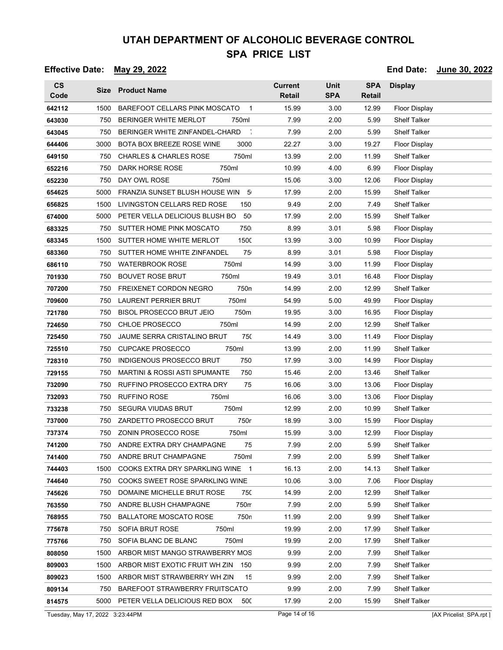### **Effective Date: May 29, 2022 End Date: June 30, 2022**

| $\mathsf{cs}$<br>Code |      | Size Product Name                               | <b>Current</b><br><b>Retail</b> | Unit<br><b>SPA</b> | <b>SPA</b><br>Retail | <b>Display</b>       |
|-----------------------|------|-------------------------------------------------|---------------------------------|--------------------|----------------------|----------------------|
| 642112                | 1500 | BAREFOOT CELLARS PINK MOSCATO<br>1              | 15.99                           | 3.00               | 12.99                | Floor Display        |
| 643030                | 750  | <b>BERINGER WHITE MERLOT</b><br>750ml           | 7.99                            | 2.00               | 5.99                 | Shelf Talker         |
| 643045                | 750  | BERINGER WHITE ZINFANDEL-CHARD                  | 7.99                            | 2.00               | 5.99                 | <b>Shelf Talker</b>  |
| 644406                | 3000 | BOTA BOX BREEZE ROSE WINE<br>3000               | 22.27                           | 3.00               | 19.27                | <b>Floor Display</b> |
| 649150                | 750  | <b>CHARLES &amp; CHARLES ROSE</b><br>750ml      | 13.99                           | 2.00               | 11.99                | <b>Shelf Talker</b>  |
| 652216                | 750  | DARK HORSE ROSE<br>750ml                        | 10.99                           | 4.00               | 6.99                 | <b>Floor Display</b> |
| 652230                | 750  | DAY OWL ROSE<br>750ml                           | 15.06                           | 3.00               | 12.06                | Floor Display        |
| 654625                | 5000 | FRANZIA SUNSET BLUSH HOUSE WIN<br>- 5           | 17.99                           | 2.00               | 15.99                | <b>Shelf Talker</b>  |
| 656825                | 1500 | LIVINGSTON CELLARS RED ROSE<br>150              | 9.49                            | 2.00               | 7.49                 | <b>Shelf Talker</b>  |
| 674000                | 5000 | PETER VELLA DELICIOUS BLUSH BO<br>50            | 17.99                           | 2.00               | 15.99                | <b>Shelf Talker</b>  |
| 683325                | 750  | SUTTER HOME PINK MOSCATO<br>750                 | 8.99                            | 3.01               | 5.98                 | Floor Display        |
| 683345                | 1500 | 1500<br>SUTTER HOME WHITE MERLOT                | 13.99                           | 3.00               | 10.99                | Floor Display        |
| 683360                | 750  | SUTTER HOME WHITE ZINFANDEL<br>75               | 8.99                            | 3.01               | 5.98                 | <b>Floor Display</b> |
| 686110                | 750  | <b>WATERBROOK ROSE</b><br>750ml                 | 14.99                           | 3.00               | 11.99                | Floor Display        |
| 701930                | 750  | <b>BOUVET ROSE BRUT</b><br>750ml                | 19.49                           | 3.01               | 16.48                | <b>Floor Display</b> |
| 707200                | 750  | 750n<br>FREIXENET CORDON NEGRO                  | 14.99                           | 2.00               | 12.99                | <b>Shelf Talker</b>  |
| 709600                | 750  | 750ml<br><b>LAURENT PERRIER BRUT</b>            | 54.99                           | 5.00               | 49.99                | Floor Display        |
| 721780                | 750  | <b>BISOL PROSECCO BRUT JEIO</b><br>750m         | 19.95                           | 3.00               | 16.95                | <b>Floor Display</b> |
| 724650                | 750  | <b>CHLOE PROSECCO</b><br>750ml                  | 14.99                           | 2.00               | 12.99                | <b>Shelf Talker</b>  |
| 725450                | 750  | 750<br>JAUME SERRA CRISTALINO BRUT              | 14.49                           | 3.00               | 11.49                | <b>Floor Display</b> |
| 725510                | 750  | 750ml<br><b>CUPCAKE PROSECCO</b>                | 13.99                           | 2.00               | 11.99                | <b>Shelf Talker</b>  |
| 728310                | 750  | 750<br><b>INDIGENOUS PROSECCO BRUT</b>          | 17.99                           | 3.00               | 14.99                | <b>Floor Display</b> |
| 729155                | 750  | <b>MARTINI &amp; ROSSI ASTI SPUMANTE</b><br>750 | 15.46                           | 2.00               | 13.46                | <b>Shelf Talker</b>  |
| 732090                | 750  | RUFFINO PROSECCO EXTRA DRY<br>75                | 16.06                           | 3.00               | 13.06                | Floor Display        |
| 732093                | 750  | <b>RUFFINO ROSE</b><br>750ml                    | 16.06                           | 3.00               | 13.06                | <b>Floor Display</b> |
| 733238                | 750  | <b>SEGURA VIUDAS BRUT</b><br>750ml              | 12.99                           | 2.00               | 10.99                | <b>Shelf Talker</b>  |
| 737000                | 750  | 750r<br>ZARDETTO PROSECCO BRUT                  | 18.99                           | 3.00               | 15.99                | <b>Floor Display</b> |
| 737374                | 750  | ZONIN PROSECCO ROSE<br>750ml                    | 15.99                           | 3.00               | 12.99                | Floor Display        |
| 741200                |      | 75<br>750 ANDRE EXTRA DRY CHAMPAGNE             | 7.99                            | 2.00               | 5.99                 | Shelf Talker         |
| 741400                | 750  | ANDRE BRUT CHAMPAGNE<br>750ml                   | 7.99                            | 2.00               | 5.99                 | <b>Shelf Talker</b>  |
| 744403                | 1500 | COOKS EXTRA DRY SPARKLING WINE 1                | 16.13                           | 2.00               | 14.13                | <b>Shelf Talker</b>  |
| 744640                | 750  | COOKS SWEET ROSE SPARKLING WINE                 | 10.06                           | 3.00               | 7.06                 | Floor Display        |
| 745626                | 750  | DOMAINE MICHELLE BRUT ROSE<br>75C               | 14.99                           | 2.00               | 12.99                | <b>Shelf Talker</b>  |
| 763550                | 750  | 750m<br>ANDRE BLUSH CHAMPAGNE                   | 7.99                            | 2.00               | 5.99                 | <b>Shelf Talker</b>  |
| 768955                | 750  | 750n<br><b>BALLATORE MOSCATO ROSE</b>           | 11.99                           | 2.00               | 9.99                 | <b>Shelf Talker</b>  |
| 775678                | 750  | SOFIA BRUT ROSE<br>750ml                        | 19.99                           | 2.00               | 17.99                | <b>Shelf Talker</b>  |
| 775766                | 750  | SOFIA BLANC DE BLANC<br>750ml                   | 19.99                           | 2.00               | 17.99                | <b>Shelf Talker</b>  |
| 808050                | 1500 | ARBOR MIST MANGO STRAWBERRY MOS                 | 9.99                            | 2.00               | 7.99                 | <b>Shelf Talker</b>  |
| 809003                | 1500 | ARBOR MIST EXOTIC FRUIT WH ZIN<br>150           | 9.99                            | 2.00               | 7.99                 | <b>Shelf Talker</b>  |
| 809023                | 1500 | ARBOR MIST STRAWBERRY WH ZIN<br>15              | 9.99                            | 2.00               | 7.99                 | <b>Shelf Talker</b>  |
| 809134                | 750  | BAREFOOT STRAWBERRY FRUITSCATO                  | 9.99                            | 2.00               | 7.99                 | <b>Shelf Talker</b>  |
| 814575                |      | 5000 PETER VELLA DELICIOUS RED BOX<br>50C       | 17.99                           | 2.00               | 15.99                | <b>Shelf Talker</b>  |

Tuesday, May 17, 2022 3:23:44PM Page 14 of 16 Page 14 of 16 [AX Pricelist\_SPA.rpt ]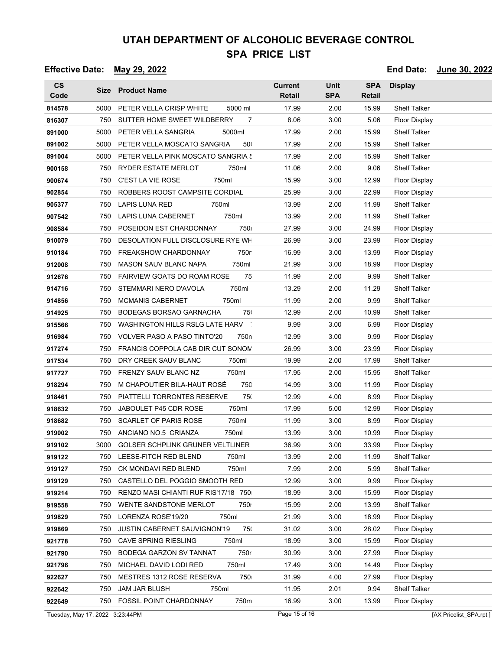### **Effective Date: May 29, 2022 End Date: June 30, 2022**

| $\mathsf{cs}$<br>Code |      | Size Product Name                                      | <b>Current</b><br><b>Retail</b> | <b>Unit</b><br><b>SPA</b> | <b>SPA</b><br>Retail | <b>Display</b>       |
|-----------------------|------|--------------------------------------------------------|---------------------------------|---------------------------|----------------------|----------------------|
| 814578                | 5000 | PETER VELLA CRISP WHITE<br>5000 ml                     | 17.99                           | 2.00                      | 15.99                | <b>Shelf Talker</b>  |
| 816307                | 750  | SUTTER HOME SWEET WILDBERRY<br>7                       | 8.06                            | 3.00                      | 5.06                 | <b>Floor Display</b> |
| 891000                | 5000 | PETER VELLA SANGRIA<br>5000ml                          | 17.99                           | 2.00                      | 15.99                | <b>Shelf Talker</b>  |
| 891002                | 5000 | PETER VELLA MOSCATO SANGRIA<br>50                      | 17.99                           | 2.00                      | 15.99                | <b>Shelf Talker</b>  |
| 891004                | 5000 | PETER VELLA PINK MOSCATO SANGRIA !                     | 17.99                           | 2.00                      | 15.99                | <b>Shelf Talker</b>  |
| 900158                | 750  | RYDER ESTATE MERLOT<br>750ml                           | 11.06                           | 2.00                      | 9.06                 | <b>Shelf Talker</b>  |
| 900674                | 750  | <b>C'EST LA VIE ROSE</b><br>750ml                      | 15.99                           | 3.00                      | 12.99                | Floor Display        |
| 902854                | 750  | ROBBERS ROOST CAMPSITE CORDIAL                         | 25.99                           | 3.00                      | 22.99                | <b>Floor Display</b> |
| 905377                | 750  | LAPIS LUNA RED<br>750ml                                | 13.99                           | 2.00                      | 11.99                | <b>Shelf Talker</b>  |
| 907542                | 750  | 750ml<br>LAPIS LUNA CABERNET                           | 13.99                           | 2.00                      | 11.99                | <b>Shelf Talker</b>  |
| 908584                | 750  | 750<br>POSEIDON EST CHARDONNAY                         | 27.99                           | 3.00                      | 24.99                | <b>Floor Display</b> |
| 910079                | 750  | <b>DESOLATION FULL DISCLOSURE RYE WH</b>               | 26.99                           | 3.00                      | 23.99                | Floor Display        |
| 910184                | 750  | 750r<br>FREAKSHOW CHARDONNAY                           | 16.99                           | 3.00                      | 13.99                | <b>Floor Display</b> |
| 912008                | 750  | <b>MASON SAUV BLANC NAPA</b><br>750ml                  | 21.99                           | 3.00                      | 18.99                | Floor Display        |
| 912676                | 750  | <b>FAIRVIEW GOATS DO ROAM ROSE</b><br>75               | 11.99                           | 2.00                      | 9.99                 | <b>Shelf Talker</b>  |
| 914716                | 750  | 750ml<br>STEMMARI NERO D'AVOLA                         | 13.29                           | 2.00                      | 11.29                | <b>Shelf Talker</b>  |
| 914856                | 750  | <b>MCMANIS CABERNET</b><br>750ml                       | 11.99                           | 2.00                      | 9.99                 | <b>Shelf Talker</b>  |
| 914925                | 750  | 75<br>BODEGAS BORSAO GARNACHA                          | 12.99                           | 2.00                      | 10.99                | <b>Shelf Talker</b>  |
| 915566                | 750  | WASHINGTON HILLS RSLG LATE HARV                        | 9.99                            | 3.00                      | 6.99                 | Floor Display        |
| 916984                | 750  | <b>VOLVER PASO A PASO TINTO'20</b><br>750 <sub>n</sub> | 12.99                           | 3.00                      | 9.99                 | <b>Floor Display</b> |
| 917274                | 750  | FRANCIS COPPOLA CAB DIR CUT SONON                      | 26.99                           | 3.00                      | 23.99                | Floor Display        |
| 917534                | 750  | DRY CREEK SAUV BLANC<br>750ml                          | 19.99                           | 2.00                      | 17.99                | <b>Shelf Talker</b>  |
| 917727                | 750  | FRENZY SAUV BLANC NZ<br>750ml                          | 17.95                           | 2.00                      | 15.95                | Shelf Talker         |
| 918294                | 750  | M CHAPOUTIER BILA-HAUT ROSÉ<br>750                     | 14.99                           | 3.00                      | 11.99                | Floor Display        |
| 918461                | 750  | 750<br><b>PIATTELLI TORRONTES RESERVE</b>              | 12.99                           | 4.00                      | 8.99                 | <b>Floor Display</b> |
| 918632                | 750  | 750ml<br>JABOULET P45 CDR ROSE                         | 17.99                           | 5.00                      | 12.99                | Floor Display        |
| 918682                | 750  | SCARLET OF PARIS ROSE<br>750ml                         | 11.99                           | 3.00                      | 8.99                 | Floor Display        |
| 919002                | 750  | ANCIANO NO.5 CRIANZA<br>750ml                          | 13.99                           | 3.00                      | 10.99                | Floor Display        |
| 919102                | 3000 | GOLSER SCHPLINK GRUNER VELTLINER                       | 36.99                           | 3.00                      | 33.99                | <b>Floor Display</b> |
| 919122                | 750  | LEESE-FITCH RED BLEND<br>750ml                         | 13.99                           | 2.00                      | 11.99                | Shelf Talker         |
| 919127                | 750  | 750ml<br>CK MONDAVI RED BLEND                          | 7.99                            | 2.00                      | 5.99                 | <b>Shelf Talker</b>  |
| 919129                | 750  | CASTELLO DEL POGGIO SMOOTH RED                         | 12.99                           | 3.00                      | 9.99                 | Floor Display        |
| 919214                | 750  | RENZO MASI CHIANTI RUF RIS'17/18 750                   | 18.99                           | 3.00                      | 15.99                | <b>Floor Display</b> |
| 919558                | 750  | 750<br>WENTE SANDSTONE MERLOT                          | 15.99                           | 2.00                      | 13.99                | Shelf Talker         |
| 919829                | 750  | LORENZA ROSE'19/20<br>750ml                            | 21.99                           | 3.00                      | 18.99                | Floor Display        |
| 919869                | 750  | 750<br><b>JUSTIN CABERNET SAUVIGNON'19</b>             | 31.02                           | 3.00                      | 28.02                | <b>Floor Display</b> |
| 921778                | 750  | <b>CAVE SPRING RIESLING</b><br>750ml                   | 18.99                           | 3.00                      | 15.99                | Floor Display        |
| 921790                | 750  | 750r<br>BODEGA GARZON SV TANNAT                        | 30.99                           | 3.00                      | 27.99                | <b>Floor Display</b> |
| 921796                | 750  | 750ml<br>MICHAEL DAVID LODI RED                        | 17.49                           | 3.00                      | 14.49                | Floor Display        |
| 922627                | 750  | MESTRES 1312 ROSE RESERVA<br>750                       | 31.99                           | 4.00                      | 27.99                | <b>Floor Display</b> |
| 922642                | 750  | <b>JAM JAR BLUSH</b><br>750ml                          | 11.95                           | 2.01                      | 9.94                 | <b>Shelf Talker</b>  |
| 922649                | 750  | FOSSIL POINT CHARDONNAY<br>750m                        | 16.99                           | 3.00                      | 13.99                | <b>Floor Display</b> |

Tuesday, May 17, 2022 3:23:44PM Page 15 of 16 Page 15 of 16 [AX Pricelist\_SPA.rpt ]